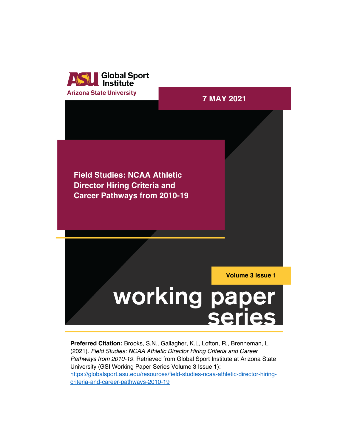

**Arizona State University 7 MAY 2021 Field Studies: NCAA Athletic Director Hiring Criteria and Career Pathways from 2010-19 Volume 3 Issue 1**working paper **series** 

**Preferred Citation:** Brooks, S.N., Gallagher, K.L, Lofton, R., Brenneman, L. (2021). *Field Studies: NCAA Athletic Director Hiring Criteria and Career Pathways from 2010-19.* Retrieved from Global Sport Institute at Arizona State University (GSI Working Paper Series Volume 3 Issue 1): https://globalsport.asu.edu/resources/field-studies-ncaa-athletic-director-hiringcriteria-and-career-pathways-2010-19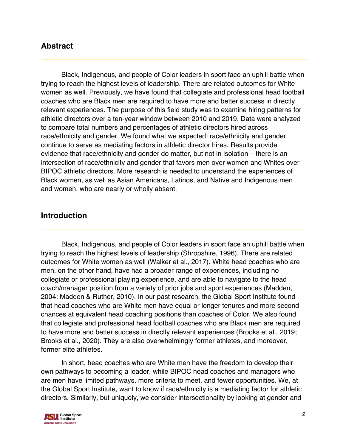# **Abstract**

Black, Indigenous, and people of Color leaders in sport face an uphill battle when trying to reach the highest levels of leadership. There are related outcomes for White women as well. Previously, we have found that collegiate and professional head football coaches who are Black men are required to have more and better success in directly relevant experiences. The purpose of this field study was to examine hiring patterns for athletic directors over a ten-year window between 2010 and 2019. Data were analyzed to compare total numbers and percentages of athletic directors hired across race/ethnicity and gender. We found what we expected: race/ethnicity and gender continue to serve as mediating factors in athletic director hires. Results provide evidence that race/ethnicity and gender do matter, but not in isolation – there is an intersection of race/ethnicity and gender that favors men over women and Whites over BIPOC athletic directors. More research is needed to understand the experiences of Black women, as well as Asian Americans, Latinos, and Native and Indigenous men and women, who are nearly or wholly absent.

# **Introduction**

Black, Indigenous, and people of Color leaders in sport face an uphill battle when trying to reach the highest levels of leadership (Shropshire, 1996). There are related outcomes for White women as well (Walker et al., 2017). White head coaches who are men, on the other hand, have had a broader range of experiences, including no collegiate or professional playing experience, and are able to navigate to the head coach/manager position from a variety of prior jobs and sport experiences (Madden, 2004; Madden & Ruther, 2010). In our past research, the Global Sport Institute found that head coaches who are White men have equal or longer tenures and more second chances at equivalent head coaching positions than coaches of Color. We also found that collegiate and professional head football coaches who are Black men are required to have more and better success in directly relevant experiences (Brooks et al., 2019; Brooks et al., 2020). They are also overwhelmingly former athletes, and moreover, former elite athletes.

In short, head coaches who are White men have the freedom to develop their own pathways to becoming a leader, while BIPOC head coaches and managers who are men have limited pathways, more criteria to meet, and fewer opportunities. We, at the Global Sport Institute, want to know if race/ethnicity is a mediating factor for athletic directors. Similarly, but uniquely, we consider intersectionality by looking at gender and

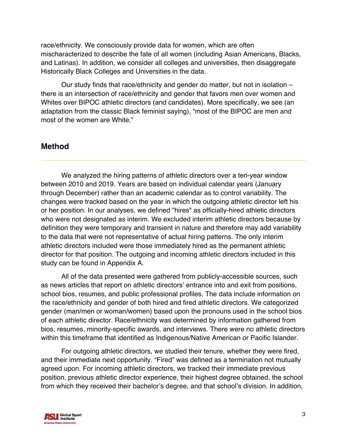race/ethnicity. We consciously provide data for women, which are often mischaracterized to describe the fate of all women (including Asian Americans, Blacks, and Latinas). In addition, we consider all colleges and universities, then disaggregate Historically Black Colleges and Universities in the data.

Our study finds that race/ethnicity and gender do matter, but not in isolation – there is an intersection of race/ethnicity and gender that favors men over women and Whites over BIPOC athletic directors (and candidates). More specifically, we see (an adaptation from the classic Black feminist saying), "most of the BIPOC are men and most of the women are White."

# **Method**

We analyzed the hiring patterns of athletic directors over a ten-year window between 2010 and 2019. Years are based on individual calendar years (January through December) rather than an academic calendar as to control variability. The changes were tracked based on the year in which the outgoing athletic director left his or her position. In our analyses, we defined "hires" as officially-hired athletic directors who were not designated as interim. We excluded interim athletic directors because by definition they were temporary and transient in nature and therefore may add variability to the data that were not representative of actual hiring patterns. The only interim athletic directors included were those immediately hired as the permanent athletic director for that position. The outgoing and incoming athletic directors included in this study can be found in Appendix A.

All of the data presented were gathered from publicly-accessible sources, such as news articles that report on athletic directors' entrance into and exit from positions, school bios, resumes, and public professional profiles. The data include information on the race/ethnicity and gender of both hired and fired athletic directors. We categorized gender (man/men or woman/women) based upon the pronouns used in the school bios of each athletic director. Race/ethnicity was determined by information gathered from bios, resumes, minority-specific awards, and interviews. There were no athletic directors within this timeframe that identified as Indigenous/Native American or Pacific Islander.

For outgoing athletic directors, we studied their tenure, whether they were fired, and their immediate next opportunity. "Fired" was defined as a termination not mutually agreed upon. For incoming athletic directors, we tracked their immediate previous position, previous athletic director experience, their highest degree obtained, the school from which they received their bachelor's degree, and that school's division. In addition,

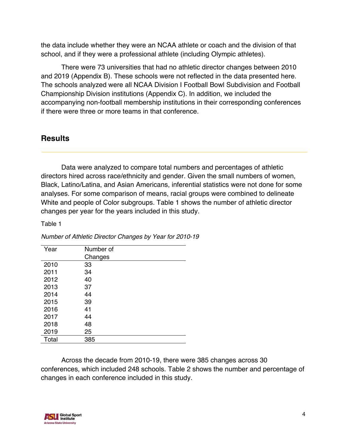the data include whether they were an NCAA athlete or coach and the division of that school, and if they were a professional athlete (including Olympic athletes).

There were 73 universities that had no athletic director changes between 2010 and 2019 (Appendix B). These schools were not reflected in the data presented here. The schools analyzed were all NCAA Division I Football Bowl Subdivision and Football Championship Division institutions (Appendix C). In addition, we included the accompanying non-football membership institutions in their corresponding conferences if there were three or more teams in that conference.

# **Results**

Data were analyzed to compare total numbers and percentages of athletic directors hired across race/ethnicity and gender. Given the small numbers of women, Black, Latino/Latina, and Asian Americans, inferential statistics were not done for some analyses. For some comparison of means, racial groups were combined to delineate White and people of Color subgroups. Table 1 shows the number of athletic director changes per year for the years included in this study.

Table 1

| Year  | Number of |
|-------|-----------|
|       | Changes   |
| 2010  | 33        |
| 2011  | 34        |
| 2012  | 40        |
| 2013  | 37        |
| 2014  | 44        |
| 2015  | 39        |
| 2016  | 41        |
| 2017  | 44        |
| 2018  | 48        |
| 2019  | 25        |
| Total | 385       |

*Number of Athletic Director Changes by Year for 2010-19*

Across the decade from 2010-19, there were 385 changes across 30 conferences, which included 248 schools. Table 2 shows the number and percentage of changes in each conference included in this study.

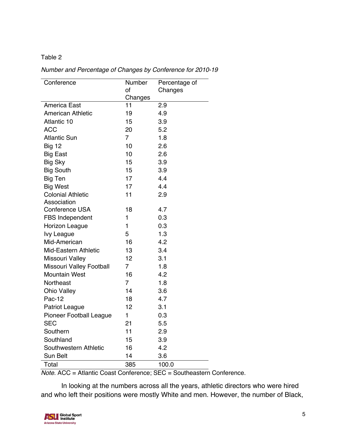| Conference                     | Number<br>of   | Percentage of<br>Changes |
|--------------------------------|----------------|--------------------------|
|                                | Changes        |                          |
| America East                   | 11             | 2.9                      |
| <b>American Athletic</b>       | 19             | 4.9                      |
| Atlantic 10                    | 15             | 3.9                      |
| <b>ACC</b>                     | 20             | 5.2                      |
| <b>Atlantic Sun</b>            | $\overline{7}$ | 1.8                      |
| <b>Big 12</b>                  | 10             | 2.6                      |
| <b>Big East</b>                | 10             | 2.6                      |
| Big Sky                        | 15             | 3.9                      |
| <b>Big South</b>               | 15             | 3.9                      |
| <b>Big Ten</b>                 | 17             | 4.4                      |
| <b>Big West</b>                | 17             | 4.4                      |
| <b>Colonial Athletic</b>       | 11             | 2.9                      |
| Association                    |                |                          |
| Conference USA                 | 18             | 4.7                      |
| <b>FBS Independent</b>         | 1              | 0.3                      |
| Horizon League                 | $\mathbf{1}$   | 0.3                      |
| lvy League                     | 5              | 1.3                      |
| Mid-American                   | 16             | 4.2                      |
| <b>Mid-Eastern Athletic</b>    | 13             | 3.4                      |
| Missouri Valley                | 12             | 3.1                      |
| Missouri Valley Football       | $\overline{7}$ | 1.8                      |
| <b>Mountain West</b>           | 16             | 4.2                      |
| Northeast                      | $\overline{7}$ | 1.8                      |
| <b>Ohio Valley</b>             | 14             | 3.6                      |
| Pac-12                         | 18             | 4.7                      |
| <b>Patriot League</b>          | 12             | 3.1                      |
| <b>Pioneer Football League</b> | 1              | 0.3                      |
| <b>SEC</b>                     | 21             | 5.5                      |
| Southern                       | 11             | 2.9                      |
| Southland                      | 15             | 3.9                      |
| Southwestern Athletic          | 16             | 4.2                      |
| <b>Sun Belt</b>                | 14             | 3.6                      |
| Total                          | 385            | 100.0                    |

*Number and Percentage of Changes by Conference for 2010-19* 

*Note.* ACC = Atlantic Coast Conference; SEC = Southeastern Conference.

In looking at the numbers across all the years, athletic directors who were hired and who left their positions were mostly White and men. However, the number of Black,

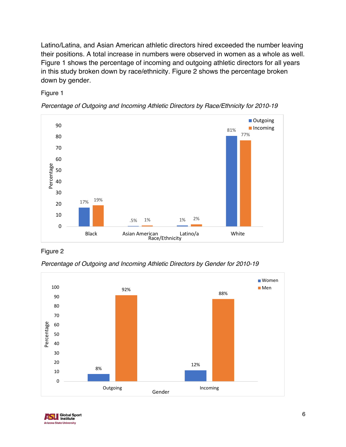Latino/Latina, and Asian American athletic directors hired exceeded the number leaving their positions. A total increase in numbers were observed in women as a whole as well. Figure 1 shows the percentage of incoming and outgoing athletic directors for all years in this study broken down by race/ethnicity. Figure 2 shows the percentage broken down by gender.

## Figure 1





Figure 2

*Percentage of Outgoing and Incoming Athletic Directors by Gender for 2010-19*



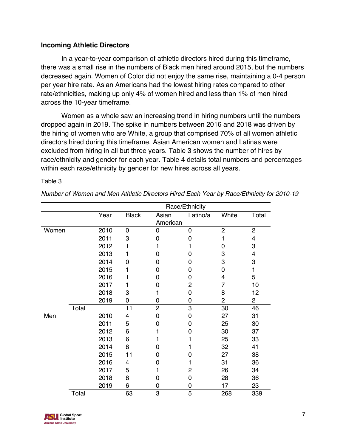# **Incoming Athletic Directors**

In a year-to-year comparison of athletic directors hired during this timeframe, there was a small rise in the numbers of Black men hired around 2015, but the numbers decreased again. Women of Color did not enjoy the same rise, maintaining a 0-4 person per year hire rate. Asian Americans had the lowest hiring rates compared to other rate/ethnicities, making up only 4% of women hired and less than 1% of men hired across the 10-year timeframe.

Women as a whole saw an increasing trend in hiring numbers until the numbers dropped again in 2019. The spike in numbers between 2016 and 2018 was driven by the hiring of women who are White, a group that comprised 70% of all women athletic directors hired during this timeframe. Asian American women and Latinas were excluded from hiring in all but three years. Table 3 shows the number of hires by race/ethnicity and gender for each year. Table 4 details total numbers and percentages within each race/ethnicity by gender for new hires across all years.

|       |       |      |                         |                   | Race/Ethnicity |                |                |
|-------|-------|------|-------------------------|-------------------|----------------|----------------|----------------|
|       |       | Year | <b>Black</b>            | Asian<br>American | Latino/a       | White          | Total          |
| Women |       | 2010 | 0                       | 0                 | 0              | $\overline{2}$ | $\overline{2}$ |
|       |       | 2011 | 3                       | 0                 | 0              | 1              | 4              |
|       |       | 2012 | 1                       | 1                 |                | 0              | 3              |
|       |       | 2013 | 1                       | 0                 | 0              | 3              | 4              |
|       |       | 2014 | 0                       | 0                 | 0              | 3              | 3              |
|       |       | 2015 | 1                       | 0                 | 0              | 0              | 1              |
|       |       | 2016 | 1                       | 0                 | 0              | 4              | 5              |
|       |       | 2017 | 1                       | 0                 | 2              | $\overline{7}$ | 10             |
|       |       | 2018 | 3                       | 1                 | 0              | 8              | 12             |
|       |       | 2019 | 0                       | 0                 | 0              | $\overline{2}$ | $\overline{c}$ |
|       | Total |      | 11                      | $\overline{c}$    | 3              | 30             | 46             |
| Men   |       | 2010 | $\overline{\mathbf{4}}$ | $\mathbf 0$       | $\overline{0}$ | 27             | 31             |
|       |       | 2011 | 5                       | 0                 | 0              | 25             | 30             |
|       |       | 2012 | 6                       | 1                 | 0              | 30             | 37             |
|       |       | 2013 | 6                       |                   |                | 25             | 33             |
|       |       | 2014 | 8                       | 0                 |                | 32             | 41             |
|       |       | 2015 | 11                      | 0                 | 0              | 27             | 38             |
|       |       | 2016 | 4                       | 0                 | 1              | 31             | 36             |
|       |       | 2017 | 5                       | 1                 | 2              | 26             | 34             |
|       |       | 2018 | 8                       | 0                 | 0              | 28             | 36             |
|       |       | 2019 | 6                       | 0                 | 0              | 17             | 23             |
|       | Total |      | 63                      | 3                 | 5              | 268            | 339            |

### Table 3

*Number of Women and Men Athletic Directors Hired Each Year by Race/Ethnicity for 2010-19*

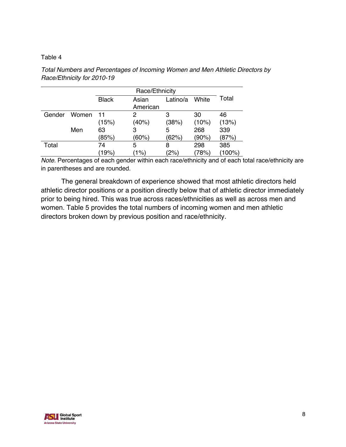|        |       |              | Race/Ethnicity |          |       |       |  |
|--------|-------|--------------|----------------|----------|-------|-------|--|
|        |       | <b>Black</b> | Asian          | Latino/a | White | Total |  |
|        |       |              | American       |          |       |       |  |
| Gender | Women | 11           | 2              | 3        | 30    | 46    |  |
|        |       | (15%)        | (40%)          | (38%)    | (10%) | (13%) |  |
|        | Men   | 63           | 3              | 5        | 268   | 339   |  |
|        |       | (85%)        | (60%)          | (62%)    | (90%) | (87%) |  |
| Total  |       | 74           | 5              | 8        | 298   | 385   |  |
|        |       | (19%)        | $1\%$          | (2%)     | 78%   | 100%  |  |

*Total Numbers and Percentages of Incoming Women and Men Athletic Directors by Race/Ethnicity for 2010-19*

*Note.* Percentages of each gender within each race/ethnicity and of each total race/ethnicity are in parentheses and are rounded.

The general breakdown of experience showed that most athletic directors held athletic director positions or a position directly below that of athletic director immediately prior to being hired. This was true across races/ethnicities as well as across men and women. Table 5 provides the total numbers of incoming women and men athletic directors broken down by previous position and race/ethnicity.

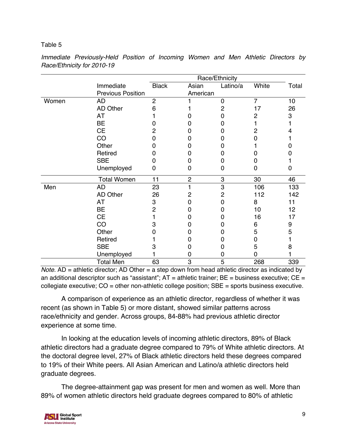|       |                          |                |                | Race/Ethnicity |                |       |
|-------|--------------------------|----------------|----------------|----------------|----------------|-------|
|       | Immediate                | <b>Black</b>   | Asian          | Latino/a       | White          | Total |
|       | <b>Previous Position</b> |                | American       |                |                |       |
| Women | AD                       | $\overline{2}$ |                | 0              | $\overline{7}$ | 10    |
|       | <b>AD Other</b>          | 6              |                | 2              | 17             | 26    |
|       | AT                       |                |                | O              | $\overline{2}$ | 3     |
|       | <b>BE</b>                |                |                | 0              |                |       |
|       | <b>CE</b>                | 2              |                | 0              | 2              |       |
|       | CO                       | ი              |                | 0              | O              |       |
|       | Other                    |                |                |                |                |       |
|       | Retired                  |                |                | 0              |                |       |
|       | <b>SBE</b>               | O              |                |                | 0              |       |
|       | Unemployed               | 0              | 0              | 0              | 0              | 0     |
|       | <b>Total Women</b>       | 11             | $\overline{c}$ | 3              | 30             | 46    |
| Men   | <b>AD</b>                | 23             |                | 3              | 106            | 133   |
|       | <b>AD Other</b>          | 26             | 2              | $\overline{2}$ | 112            | 142   |
|       | AT                       | 3              | ი              | ი              | 8              | 11    |
|       | BE                       | $\overline{2}$ |                | O              | 10             | 12    |
|       | <b>CE</b>                |                |                |                | 16             | 17    |
|       | CO                       | 3              | 0              |                | 6              | 9     |
|       | Other                    |                | Ω              | 0              | 5              | 5     |
|       | Retired                  |                | 0              |                | 0              |       |
|       | <b>SBE</b>               | З              | 0              | 0              | 5              | 8     |
|       | Unemployed               |                | 0              | O              | 0              |       |
|       | <b>Total Men</b>         | 63             | 3              | 5              | 268            | 339   |

*Immediate Previously-Held Position of Incoming Women and Men Athletic Directors by Race/Ethnicity for 2010-19*

*Note.* AD = athletic director; AD Other = a step down from head athletic director as indicated by an additional descriptor such as "assistant";  $AT =$  athletic trainer;  $BE =$  business executive;  $CE =$ collegiate executive; CO = other non-athletic college position; SBE = sports business executive.

A comparison of experience as an athletic director, regardless of whether it was recent (as shown in Table 5) or more distant, showed similar patterns across race/ethnicity and gender. Across groups, 84-88% had previous athletic director experience at some time.

In looking at the education levels of incoming athletic directors, 89% of Black athletic directors had a graduate degree compared to 79% of White athletic directors. At the doctoral degree level, 27% of Black athletic directors held these degrees compared to 19% of their White peers. All Asian American and Latino/a athletic directors held graduate degrees.

The degree-attainment gap was present for men and women as well. More than 89% of women athletic directors held graduate degrees compared to 80% of athletic

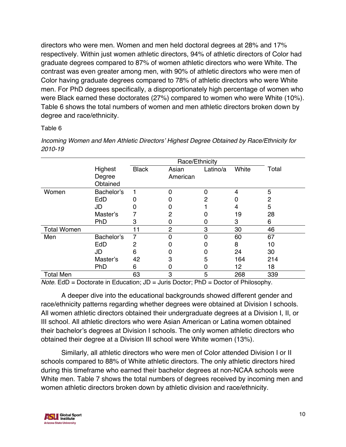directors who were men. Women and men held doctoral degrees at 28% and 17% respectively. Within just women athletic directors, 94% of athletic directors of Color had graduate degrees compared to 87% of women athletic directors who were White. The contrast was even greater among men, with 90% of athletic directors who were men of Color having graduate degrees compared to 78% of athletic directors who were White men. For PhD degrees specifically, a disproportionately high percentage of women who were Black earned these doctorates (27%) compared to women who were White (10%). Table 6 shows the total numbers of women and men athletic directors broken down by degree and race/ethnicity.

### Table 6

|                    |                               |              | Race/Ethnicity    |                |       |       |
|--------------------|-------------------------------|--------------|-------------------|----------------|-------|-------|
|                    | Highest<br>Degree<br>Obtained | <b>Black</b> | Asian<br>American | Latino/a       | White | Total |
| Women              | Bachelor's                    |              | $\overline{0}$    | $\overline{0}$ | 4     | 5     |
|                    | EdD                           | 0            | O                 | 2              |       | 2     |
|                    | JD                            | 0            |                   |                | 4     | 5     |
|                    | Master's                      |              | 2                 |                | 19    | 28    |
|                    | PhD                           | 3            | 0                 | O              | 3     | 6     |
| <b>Total Women</b> |                               | 11           | $\overline{2}$    | 3              | 30    | 46    |
| Men                | Bachelor's                    | 7            | 0                 | $\Omega$       | 60    | 67    |
|                    | EdD                           | 2            | 0                 | 0              | 8     | 10    |
|                    | JD                            | 6            |                   | 0              | 24    | 30    |
|                    | Master's                      | 42           | 3                 | 5              | 164   | 214   |
|                    | PhD                           | 6            | 0                 | 0              | 12    | 18    |
| <b>Total Men</b>   |                               | 63           | 3                 | 5              | 268   | 339   |

*Incoming Women and Men Athletic Directors' Highest Degree Obtained by Race/Ethnicity for 2010-19*

*Note.* EdD = Doctorate in Education; JD = Juris Doctor; PhD = Doctor of Philosophy.

A deeper dive into the educational backgrounds showed different gender and race/ethnicity patterns regarding whether degrees were obtained at Division I schools. All women athletic directors obtained their undergraduate degrees at a Division I, II, or III school. All athletic directors who were Asian American or Latina women obtained their bachelor's degrees at Division I schools. The only women athletic directors who obtained their degree at a Division III school were White women (13%).

Similarly, all athletic directors who were men of Color attended Division I or II schools compared to 88% of White athletic directors. The only athletic directors hired during this timeframe who earned their bachelor degrees at non-NCAA schools were White men. Table 7 shows the total numbers of degrees received by incoming men and women athletic directors broken down by athletic division and race/ethnicity.

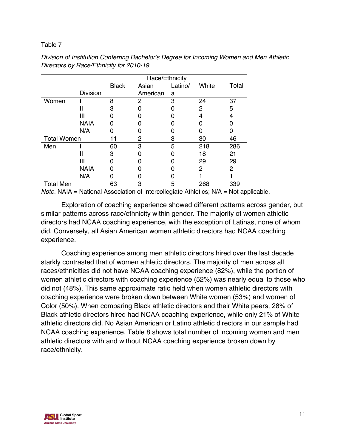|                    |                 |              | Race/Ethnicity |         |       |       |  |  |
|--------------------|-----------------|--------------|----------------|---------|-------|-------|--|--|
|                    |                 | <b>Black</b> | Asian          | Latino/ | White | Total |  |  |
|                    | <b>Division</b> |              | American       | a       |       |       |  |  |
| Women              |                 | 8            | 2              | 3       | 24    | 37    |  |  |
|                    | Ш               | З            |                |         | 2     | 5     |  |  |
|                    | Ш               |              |                |         | 4     | 4     |  |  |
|                    | <b>NAIA</b>     |              |                |         |       |       |  |  |
|                    | N/A             |              |                |         |       |       |  |  |
| <b>Total Women</b> |                 | 11           | 2              | 3       | 30    | 46    |  |  |
| Men                |                 | 60           | 3              | 5       | 218   | 286   |  |  |
|                    | Ш               | З            |                |         | 18    | 21    |  |  |
|                    |                 |              |                |         | 29    | 29    |  |  |
|                    | <b>NAIA</b>     |              |                |         | 2     | 2     |  |  |
|                    | N/A             |              |                |         |       |       |  |  |
| <b>Total Men</b>   |                 | 63           | 3              | 5       | 268   | 339   |  |  |

*Division of Institution Conferring Bachelor's Degree for Incoming Women and Men Athletic Directors by Race/Ethnicity for 2010-19*

*Note.* NAIA = National Association of Intercollegiate Athletics; N/A = Not applicable.

Exploration of coaching experience showed different patterns across gender, but similar patterns across race/ethnicity within gender. The majority of women athletic directors had NCAA coaching experience, with the exception of Latinas, none of whom did. Conversely, all Asian American women athletic directors had NCAA coaching experience.

Coaching experience among men athletic directors hired over the last decade starkly contrasted that of women athletic directors. The majority of men across all races/ethnicities did not have NCAA coaching experience (82%), while the portion of women athletic directors with coaching experience (52%) was nearly equal to those who did not (48%). This same approximate ratio held when women athletic directors with coaching experience were broken down between White women (53%) and women of Color (50%). When comparing Black athletic directors and their White peers, 28% of Black athletic directors hired had NCAA coaching experience, while only 21% of White athletic directors did. No Asian American or Latino athletic directors in our sample had NCAA coaching experience. Table 8 shows total number of incoming women and men athletic directors with and without NCAA coaching experience broken down by race/ethnicity.

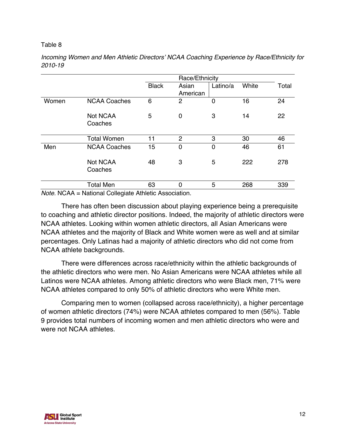|       |                            |              | Race/Ethnicity |                |       |       |
|-------|----------------------------|--------------|----------------|----------------|-------|-------|
|       |                            | <b>Black</b> | Asian          | Latino/a       | White | Total |
|       |                            |              | American       |                |       |       |
| Women | <b>NCAA Coaches</b>        | 6            | $\overline{2}$ | $\overline{0}$ | 16    | 24    |
|       | <b>Not NCAA</b><br>Coaches | 5            | $\overline{0}$ | 3              | 14    | 22    |
|       | <b>Total Women</b>         | 11           | $\overline{2}$ | 3              | 30    | 46    |
| Men   | <b>NCAA Coaches</b>        | 15           | $\overline{0}$ | 0              | 46    | 61    |
|       | <b>Not NCAA</b><br>Coaches | 48           | 3              | 5              | 222   | 278   |
|       | <b>Total Men</b>           | 63           | $\Omega$       | 5              | 268   | 339   |

*Incoming Women and Men Athletic Directors' NCAA Coaching Experience by Race/Ethnicity for 2010-19* 

*Note.* NCAA = National Collegiate Athletic Association.

There has often been discussion about playing experience being a prerequisite to coaching and athletic director positions. Indeed, the majority of athletic directors were NCAA athletes. Looking within women athletic directors, all Asian Americans were NCAA athletes and the majority of Black and White women were as well and at similar percentages. Only Latinas had a majority of athletic directors who did not come from NCAA athlete backgrounds.

There were differences across race/ethnicity within the athletic backgrounds of the athletic directors who were men. No Asian Americans were NCAA athletes while all Latinos were NCAA athletes. Among athletic directors who were Black men, 71% were NCAA athletes compared to only 50% of athletic directors who were White men.

Comparing men to women (collapsed across race/ethnicity), a higher percentage of women athletic directors (74%) were NCAA athletes compared to men (56%). Table 9 provides total numbers of incoming women and men athletic directors who were and were not NCAA athletes.

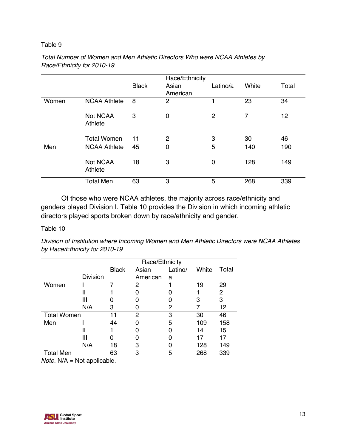|       |                            |              | Race/Ethnicity    |          |       |       |
|-------|----------------------------|--------------|-------------------|----------|-------|-------|
|       |                            | <b>Black</b> | Asian<br>American | Latino/a | White | Total |
| Women | <b>NCAA Athlete</b>        | 8            | $\overline{2}$    |          | 23    | 34    |
|       | <b>Not NCAA</b><br>Athlete | 3            | 0                 | 2        | 7     | 12    |
|       | <b>Total Women</b>         | 11           | $\overline{2}$    | 3        | 30    | 46    |
| Men   | <b>NCAA Athlete</b>        | 45           | $\mathbf 0$       | 5        | 140   | 190   |
|       | <b>Not NCAA</b><br>Athlete | 18           | 3                 | 0        | 128   | 149   |
|       | <b>Total Men</b>           | 63           | 3                 | 5        | 268   | 339   |

# *Total Number of Women and Men Athletic Directors Who were NCAA Athletes by Race/Ethnicity for 2010-19*

Of those who were NCAA athletes, the majority across race/ethnicity and genders played Division I. Table 10 provides the Division in which incoming athletic directors played sports broken down by race/ethnicity and gender.

### Table 10

*Division of Institution where Incoming Women and Men Athletic Directors were NCAA Athletes by Race/Ethnicity for 2010-19*

|                 | <b>Black</b> | Asian    | Latino/ | White          | Total |
|-----------------|--------------|----------|---------|----------------|-------|
| <b>Division</b> |              | American | a       |                |       |
|                 |              | 2        |         | 19             | 29    |
| Ш               |              |          |         |                | 2     |
| Ш               |              |          |         | З              | 3     |
| N/A             | 3            |          | 2       |                | 12    |
|                 |              | 2        | 3       | 30             | 46    |
|                 | 44           | ŋ        | 5       | 109            | 158   |
| H               |              |          |         | 14             | 15    |
| Ш               |              |          |         | 17             | 17    |
| N/A             | 18           | 3        |         | 128            | 149   |
|                 | 63           | 3        | 5       | 268            | 339   |
|                 |              |          |         | Race/Ethnicity |       |

*Note.* N/A = Not applicable.

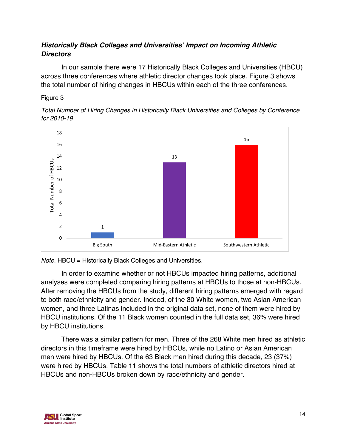# *Historically Black Colleges and Universities' Impact on Incoming Athletic Directors*

In our sample there were 17 Historically Black Colleges and Universities (HBCU) across three conferences where athletic director changes took place. Figure 3 shows the total number of hiring changes in HBCUs within each of the three conferences.

# Figure 3





*Note.* HBCU = Historically Black Colleges and Universities.

In order to examine whether or not HBCUs impacted hiring patterns, additional analyses were completed comparing hiring patterns at HBCUs to those at non-HBCUs. After removing the HBCUs from the study, different hiring patterns emerged with regard to both race/ethnicity and gender. Indeed, of the 30 White women, two Asian American women, and three Latinas included in the original data set, none of them were hired by HBCU institutions. Of the 11 Black women counted in the full data set, 36% were hired by HBCU institutions.

There was a similar pattern for men. Three of the 268 White men hired as athletic directors in this timeframe were hired by HBCUs, while no Latino or Asian American men were hired by HBCUs. Of the 63 Black men hired during this decade, 23 (37%) were hired by HBCUs. Table 11 shows the total numbers of athletic directors hired at HBCUs and non-HBCUs broken down by race/ethnicity and gender.

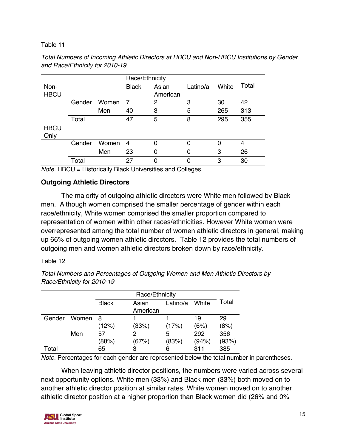|             |        |       | Race/Ethnicity |          |          |       |       |
|-------------|--------|-------|----------------|----------|----------|-------|-------|
| Non-        |        |       | <b>Black</b>   | Asian    | Latino/a | White | Total |
| <b>HBCU</b> |        |       |                | American |          |       |       |
|             | Gender | Women | -7             | 2        | 3        | 30    | 42    |
|             |        | Men   | 40             | 3        | 5        | 265   | 313   |
|             | Total  |       | 47             | 5        | 8        | 295   | 355   |
| <b>HBCU</b> |        |       |                |          |          |       |       |
| Only        |        |       |                |          |          |       |       |
|             | Gender | Women | $\overline{4}$ | 0        |          |       | 4     |
|             |        | Men   | 23             | 0        |          | 3     | 26    |
|             | Total  |       | 27             | 0        |          | 3     | 30    |

*Total Numbers of Incoming Athletic Directors at HBCU and Non-HBCU Institutions by Gender and Race/Ethnicity for 2010-19*

*Note.* HBCU = Historically Black Universities and Colleges.

# **Outgoing Athletic Directors**

The majority of outgoing athletic directors were White men followed by Black men. Although women comprised the smaller percentage of gender within each race/ethnicity, White women comprised the smaller proportion compared to representation of women within other races/ethnicities. However White women were overrepresented among the total number of women athletic directors in general, making up 66% of outgoing women athletic directors. Table 12 provides the total numbers of outgoing men and women athletic directors broken down by race/ethnicity.

### Table 12

*Total Numbers and Percentages of Outgoing Women and Men Athletic Directors by Race/Ethnicity for 2010-19*

|        |       |              | Race/Ethnicity |          |       |       |  |
|--------|-------|--------------|----------------|----------|-------|-------|--|
|        |       | <b>Black</b> | Asian          | Latino/a | White | Total |  |
|        |       |              | American       |          |       |       |  |
| Gender | Women | -8           |                |          | 19    | 29    |  |
|        |       | (12%)        | (33%)          | (17%)    | (6%)  | (8%)  |  |
|        | Men   | 57           | 2              | 5        | 292   | 356   |  |
|        |       | (88%)        | (67%)          | (83%)    | (94%) | (93%) |  |
| Total  |       | 65           | 3              | 6        | 311   | 385   |  |

*Note.* Percentages for each gender are represented below the total number in parentheses.

When leaving athletic director positions, the numbers were varied across several next opportunity options. White men (33%) and Black men (33%) both moved on to another athletic director position at similar rates. White women moved on to another athletic director position at a higher proportion than Black women did (26% and 0%

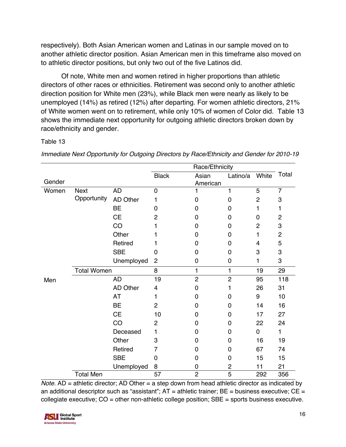respectively). Both Asian American women and Latinas in our sample moved on to another athletic director position. Asian American men in this timeframe also moved on to athletic director positions, but only two out of the five Latinos did.

Of note, White men and women retired in higher proportions than athletic directors of other races or ethnicities. Retirement was second only to another athletic direction position for White men (23%), while Black men were nearly as likely to be unemployed (14%) as retired (12%) after departing. For women athletic directors, 21% of White women went on to retirement, while only 10% of women of Color did. Table 13 shows the immediate next opportunity for outgoing athletic directors broken down by race/ethnicity and gender.

# Table 13

|        |                    |                 |                         | Race/Ethnicity |                |                |                           |
|--------|--------------------|-----------------|-------------------------|----------------|----------------|----------------|---------------------------|
|        |                    |                 | <b>Black</b>            | Asian          | Latino/a       | White          | Total                     |
| Gender |                    |                 |                         | American       |                |                |                           |
| Women  | <b>Next</b>        | <b>AD</b>       | $\mathbf 0$             | 1              | $\mathbf{1}$   | 5              | $\overline{7}$            |
|        | Opportunity        | AD Other        | 1                       | 0              | $\overline{0}$ | $\overline{c}$ | 3                         |
|        |                    | <b>BE</b>       | 0                       | 0              | 0              | 1              | 1                         |
|        |                    | <b>CE</b>       | $\overline{2}$          | $\Omega$       | 0              | 0              | $\overline{c}$            |
|        |                    | CO              | 1                       | 0              | 0              | $\overline{2}$ | 3                         |
|        |                    | Other           | 1                       | 0              | 0              | 1              | $\overline{c}$            |
|        |                    | Retired         | 1                       | 0              | 0              | 4              | 5                         |
|        |                    | <b>SBE</b>      | 0                       | 0              | 0              | 3              | $\ensuremath{\mathsf{3}}$ |
|        |                    | Unemployed      | $\overline{c}$          | 0              | 0              | 1              | 3                         |
|        | <b>Total Women</b> |                 | 8                       | $\mathbf{1}$   | $\mathbf{1}$   | 19             | 29                        |
| Men    |                    | <b>AD</b>       | 19                      | $\overline{c}$ | $\overline{2}$ | 95             | 118                       |
|        |                    | <b>AD Other</b> | $\overline{\mathbf{4}}$ | 0              | 1              | 26             | 31                        |
|        |                    | <b>AT</b>       | 1                       | 0              | 0              | 9              | 10                        |
|        |                    | <b>BE</b>       | $\overline{2}$          | $\Omega$       | 0              | 14             | 16                        |
|        |                    | <b>CE</b>       | 10                      | 0              | 0              | 17             | 27                        |
|        |                    | CO              | $\overline{2}$          | 0              | 0              | 22             | 24                        |
|        |                    | Deceased        | 1                       | $\Omega$       | 0              | $\mathbf 0$    | 1                         |
|        |                    | Other           | 3                       | $\Omega$       | 0              | 16             | 19                        |
|        |                    | Retired         | 7                       | 0              | 0              | 67             | 74                        |
|        |                    | <b>SBE</b>      | $\overline{0}$          | 0              | 0              | 15             | 15                        |
|        |                    | Unemployed      | 8                       | 0              | $\overline{c}$ | 11             | 21                        |
|        | <b>Total Men</b>   |                 | 57                      | $\overline{2}$ | 5              | 292            | 356                       |

*Immediate Next Opportunity for Outgoing Directors by Race/Ethnicity and Gender for 2010-19*

*Note.* AD = athletic director; AD Other = a step down from head athletic director as indicated by an additional descriptor such as "assistant";  $AT =$  athletic trainer;  $BE =$  business executive;  $CE =$ collegiate executive;  $CO =$  other non-athletic college position;  $SBE =$  sports business executive.

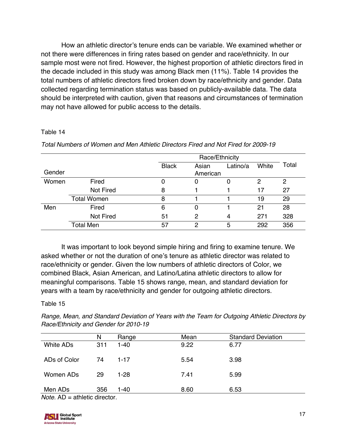How an athletic director's tenure ends can be variable. We examined whether or not there were differences in firing rates based on gender and race/ethnicity. In our sample most were not fired. However, the highest proportion of athletic directors fired in the decade included in this study was among Black men (11%). Table 14 provides the total numbers of athletic directors fired broken down by race/ethnicity and gender. Data collected regarding termination status was based on publicly-available data. The data should be interpreted with caution, given that reasons and circumstances of termination may not have allowed for public access to the details.

### Table 14

|        |                    | Race/Ethnicity |                   |          |       |       |
|--------|--------------------|----------------|-------------------|----------|-------|-------|
| Gender |                    | <b>Black</b>   | Asian<br>American | Latino/a | White | Total |
| Women  | Fired              | 0              | 0                 |          | 2     | 2     |
|        | Not Fired          | 8              |                   |          | 17    | 27    |
|        | <b>Total Women</b> | 8              |                   |          | 19    | 29    |
| Men    | Fired              | 6              | 0                 |          | 21    | 28    |
|        | Not Fired          | 51             | 2                 | 4        | 271   | 328   |
|        | <b>Total Men</b>   | 57             | $\mathcal{P}$     | 5        | 292   | 356   |

*Total Numbers of Women and Men Athletic Directors Fired and Not Fired for 2009-19* 

It was important to look beyond simple hiring and firing to examine tenure. We asked whether or not the duration of one's tenure as athletic director was related to race/ethnicity or gender. Given the low numbers of athletic directors of Color, we combined Black, Asian American, and Latino/Latina athletic directors to allow for meaningful comparisons. Table 15 shows range, mean, and standard deviation for years with a team by race/ethnicity and gender for outgoing athletic directors.

# Table 15

*Range, Mean, and Standard Deviation of Years with the Team for Outgoing Athletic Directors by Race/Ethnicity and Gender for 2010-19*

|                                                                                                                                                                                                                                                                                                                                                                                            | N   | Range    | Mean | <b>Standard Deviation</b> |
|--------------------------------------------------------------------------------------------------------------------------------------------------------------------------------------------------------------------------------------------------------------------------------------------------------------------------------------------------------------------------------------------|-----|----------|------|---------------------------|
| White ADs                                                                                                                                                                                                                                                                                                                                                                                  | 311 | $1 - 40$ | 9.22 | 6.77                      |
| ADs of Color                                                                                                                                                                                                                                                                                                                                                                               | 74  | $1 - 17$ | 5.54 | 3.98                      |
| Women ADs                                                                                                                                                                                                                                                                                                                                                                                  | 29  | $1 - 28$ | 7.41 | 5.99                      |
| Men ADs<br>$M - L$ $\overline{D}$ $\overline{D}$ $\overline{D}$ $\overline{D}$ $\overline{D}$ $\overline{D}$ $\overline{D}$ $\overline{D}$ $\overline{D}$ $\overline{D}$ $\overline{D}$ $\overline{D}$ $\overline{D}$ $\overline{D}$ $\overline{D}$ $\overline{D}$ $\overline{D}$ $\overline{D}$ $\overline{D}$ $\overline{D}$ $\overline{D}$ $\overline{D}$ $\overline{D}$ $\overline{D}$ | 356 | 1-40     | 8.60 | 6.53                      |

*Note.* AD = athletic director.

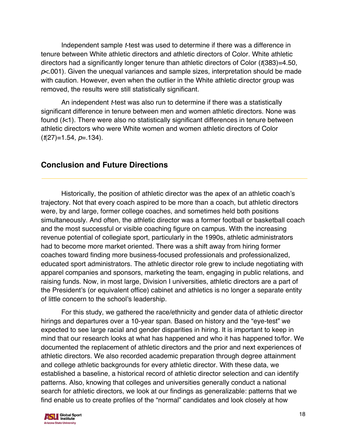Independent sample *t*-test was used to determine if there was a difference in tenure between White athletic directors and athletic directors of Color. White athletic directors had a significantly longer tenure than athletic directors of Color (*t*(383)=4.50, *p*<.001). Given the unequal variances and sample sizes, interpretation should be made with caution. However, even when the outlier in the White athletic director group was removed, the results were still statistically significant.

An independent *t*-test was also run to determine if there was a statistically significant difference in tenure between men and women athletic directors. None was found (*t*<1). There were also no statistically significant differences in tenure between athletic directors who were White women and women athletic directors of Color (*t*(27)=1.54, *p*=.134).

# **Conclusion and Future Directions**

Historically, the position of athletic director was the apex of an athletic coach's trajectory. Not that every coach aspired to be more than a coach, but athletic directors were, by and large, former college coaches, and sometimes held both positions simultaneously. And often, the athletic director was a former football or basketball coach and the most successful or visible coaching figure on campus. With the increasing revenue potential of collegiate sport, particularly in the 1990s, athletic administrators had to become more market oriented. There was a shift away from hiring former coaches toward finding more business-focused professionals and professionalized, educated sport administrators. The athletic director role grew to include negotiating with apparel companies and sponsors, marketing the team, engaging in public relations, and raising funds. Now, in most large, Division I universities, athletic directors are a part of the President's (or equivalent office) cabinet and athletics is no longer a separate entity of little concern to the school's leadership.

For this study, we gathered the race/ethnicity and gender data of athletic director hirings and departures over a 10-year span. Based on history and the "eye-test" we expected to see large racial and gender disparities in hiring. It is important to keep in mind that our research looks at what has happened and who it has happened to/for. We documented the replacement of athletic directors and the prior and next experiences of athletic directors. We also recorded academic preparation through degree attainment and college athletic backgrounds for every athletic director. With these data, we established a baseline, a historical record of athletic director selection and can identify patterns. Also, knowing that colleges and universities generally conduct a national search for athletic directors, we look at our findings as generalizable: patterns that we find enable us to create profiles of the "normal" candidates and look closely at how

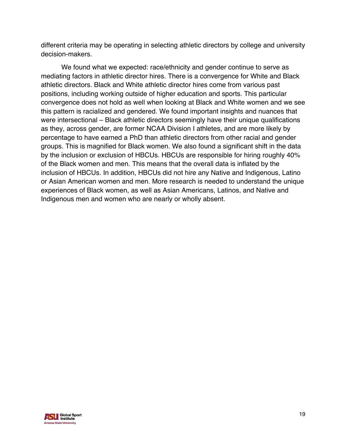different criteria may be operating in selecting athletic directors by college and university decision-makers.

We found what we expected: race/ethnicity and gender continue to serve as mediating factors in athletic director hires. There is a convergence for White and Black athletic directors. Black and White athletic director hires come from various past positions, including working outside of higher education and sports. This particular convergence does not hold as well when looking at Black and White women and we see this pattern is racialized and gendered. We found important insights and nuances that were intersectional – Black athletic directors seemingly have their unique qualifications as they, across gender, are former NCAA Division I athletes, and are more likely by percentage to have earned a PhD than athletic directors from other racial and gender groups. This is magnified for Black women. We also found a significant shift in the data by the inclusion or exclusion of HBCUs. HBCUs are responsible for hiring roughly 40% of the Black women and men. This means that the overall data is inflated by the inclusion of HBCUs. In addition, HBCUs did not hire any Native and Indigenous, Latino or Asian American women and men. More research is needed to understand the unique experiences of Black women, as well as Asian Americans, Latinos, and Native and Indigenous men and women who are nearly or wholly absent.

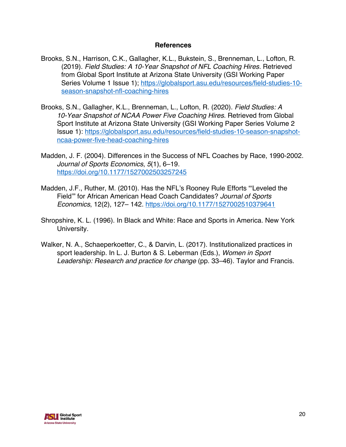## **References**

- Brooks, S.N., Harrison, C.K., Gallagher, K.L., Bukstein, S., Brenneman, L., Lofton, R. (2019). *Field Studies: A 10-Year Snapshot of NFL Coaching Hires.* Retrieved from Global Sport Institute at Arizona State University (GSI Working Paper Series Volume 1 Issue 1); https://globalsport.asu.edu/resources/field-studies-10season-snapshot-nfl-coaching-hires
- Brooks, S.N., Gallagher, K.L., Brenneman, L., Lofton, R. (2020). *Field Studies: A 10-Year Snapshot of NCAA Power Five Coaching Hires.* Retrieved from Global Sport Institute at Arizona State University (GSI Working Paper Series Volume 2 Issue 1): https://globalsport.asu.edu/resources/field-studies-10-season-snapshotncaa-power-five-head-coaching-hires
- Madden, J. F. (2004). Differences in the Success of NFL Coaches by Race, 1990-2002. *Journal of Sports Economics*, *5*(1), 6–19. https://doi.org/10.1177/1527002503257245
- Madden, J.F., Ruther, M. (2010). Has the NFL's Rooney Rule Efforts "'Leveled the Field'" for African American Head Coach Candidates? *Journal of Sports Economics*, 12(2), 127– 142. https://doi.org/10.1177/1527002510379641
- Shropshire, K. L. (1996). In Black and White: Race and Sports in America. New York University.
- Walker, N. A., Schaeperkoetter, C., & Darvin, L. (2017). Institutionalized practices in sport leadership. In L. J. Burton & S. Leberman (Eds.), *Women in Sport Leadership: Research and practice for change* (pp. 33–46). Taylor and Francis.

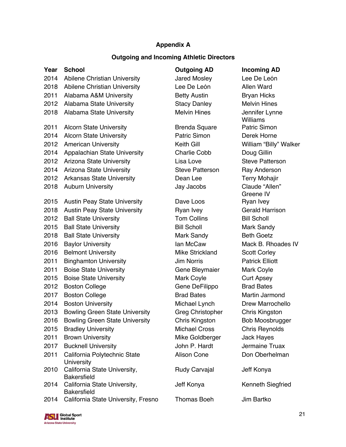# **Appendix A**

## **Outgoing and Incoming Athletic Directors**

|      |                                                    | and mooning Added Directors |                                   |
|------|----------------------------------------------------|-----------------------------|-----------------------------------|
| Year | <b>School</b>                                      | <b>Outgoing AD</b>          | <b>Incoming AD</b>                |
| 2014 | Abilene Christian University                       | <b>Jared Mosley</b>         | Lee De León                       |
| 2018 | Abilene Christian University                       | Lee De León                 | <b>Allen Ward</b>                 |
| 2011 | Alabama A&M University                             | <b>Betty Austin</b>         | <b>Bryan Hicks</b>                |
| 2012 | Alabama State University                           | <b>Stacy Danley</b>         | <b>Melvin Hines</b>               |
| 2018 | Alabama State University                           | <b>Melvin Hines</b>         | Jennifer Lynne<br><b>Williams</b> |
| 2011 | <b>Alcorn State University</b>                     | <b>Brenda Square</b>        | Patric Simon                      |
| 2014 | <b>Alcorn State University</b>                     | <b>Patric Simon</b>         | Derek Horne                       |
| 2012 | <b>American University</b>                         | Keith Gill                  | William "Billy" Walker            |
| 2014 | Appalachian State University                       | <b>Charlie Cobb</b>         | Doug Gillin                       |
| 2012 | Arizona State University                           | Lisa Love                   | <b>Steve Patterson</b>            |
| 2014 | Arizona State University                           | <b>Steve Patterson</b>      | Ray Anderson                      |
| 2012 | <b>Arkansas State University</b>                   | Dean Lee                    | <b>Terry Mohajir</b>              |
| 2018 | <b>Auburn University</b>                           | Jay Jacobs                  | Claude "Allen"                    |
|      |                                                    |                             | Greene IV                         |
| 2015 | <b>Austin Peay State University</b>                | Dave Loos                   | Ryan Ivey                         |
| 2018 | <b>Austin Peay State University</b>                | Ryan Ivey                   | <b>Gerald Harrison</b>            |
| 2012 | <b>Ball State University</b>                       | <b>Tom Collins</b>          | <b>Bill Scholl</b>                |
| 2015 | <b>Ball State University</b>                       | <b>Bill Scholl</b>          | Mark Sandy                        |
| 2018 | <b>Ball State University</b>                       | Mark Sandy                  | <b>Beth Goetz</b>                 |
| 2016 | <b>Baylor University</b>                           | lan McCaw                   | Mack B. Rhoades IV                |
| 2016 | <b>Belmont University</b>                          | Mike Strickland             | <b>Scott Corley</b>               |
| 2011 | <b>Binghamton University</b>                       | <b>Jim Norris</b>           | <b>Patrick Elliott</b>            |
| 2011 | <b>Boise State University</b>                      | Gene Bleymaier              | Mark Coyle                        |
| 2015 | <b>Boise State University</b>                      | Mark Coyle                  | <b>Curt Apsey</b>                 |
| 2012 | <b>Boston College</b>                              | Gene DeFilippo              | <b>Brad Bates</b>                 |
| 2017 | <b>Boston College</b>                              | <b>Brad Bates</b>           | Martin Jarmond                    |
| 2014 | <b>Boston University</b>                           | Michael Lynch               | Drew Marrochello                  |
| 2013 | <b>Bowling Green State University</b>              | <b>Greg Christopher</b>     | <b>Chris Kingston</b>             |
| 2016 | <b>Bowling Green State University</b>              | <b>Chris Kingston</b>       | Bob Moosbrugger                   |
| 2015 | <b>Bradley University</b>                          | <b>Michael Cross</b>        | <b>Chris Reynolds</b>             |
| 2011 | <b>Brown University</b>                            | Mike Goldberger             | <b>Jack Hayes</b>                 |
| 2017 | <b>Bucknell University</b>                         | John P. Hardt               | Jermaine Truax                    |
| 2011 | California Polytechnic State<br><b>University</b>  | <b>Alison Cone</b>          | Don Oberhelman                    |
| 2010 | California State University,<br><b>Bakersfield</b> | <b>Rudy Carvajal</b>        | Jeff Konya                        |
| 2014 | California State University,<br><b>Bakersfield</b> | Jeff Konya                  | Kenneth Siegfried                 |
| 2014 | California State University, Fresno                | Thomas Boeh                 | Jim Bartko                        |

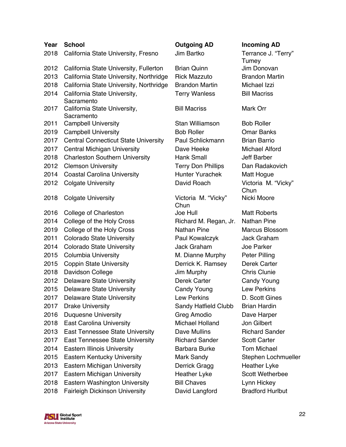| Year | <b>School</b>                               | <b>Outgoing AD</b>          | <b>Incoming AD</b>           |
|------|---------------------------------------------|-----------------------------|------------------------------|
| 2018 | California State University, Fresno         | Jim Bartko                  | Terrance J. "Terry"<br>Tumey |
| 2012 | California State University, Fullerton      | <b>Brian Quinn</b>          | Jim Donovan                  |
| 2013 | California State University, Northridge     | <b>Rick Mazzuto</b>         | <b>Brandon Martin</b>        |
| 2018 | California State University, Northridge     | <b>Brandon Martin</b>       | Michael Izzi                 |
| 2014 | California State University,<br>Sacramento  | <b>Terry Wanless</b>        | <b>Bill Macriss</b>          |
| 2017 | California State University,<br>Sacramento  | <b>Bill Macriss</b>         | Mark Orr                     |
| 2011 | <b>Campbell University</b>                  | Stan Williamson             | <b>Bob Roller</b>            |
| 2019 | <b>Campbell University</b>                  | <b>Bob Roller</b>           | <b>Omar Banks</b>            |
| 2017 | <b>Central Connecticut State University</b> | Paul Schlickmann            | <b>Brian Barrio</b>          |
| 2017 | Central Michigan University                 | Dave Heeke                  | <b>Michael Alford</b>        |
| 2018 | <b>Charleston Southern University</b>       | <b>Hank Small</b>           | <b>Jeff Barber</b>           |
| 2012 | <b>Clemson University</b>                   | <b>Terry Don Phillips</b>   | Dan Radakovich               |
| 2014 | <b>Coastal Carolina University</b>          | <b>Hunter Yurachek</b>      | Matt Hogue                   |
| 2012 | <b>Colgate University</b>                   | David Roach                 | Victoria M. "Vicky"<br>Chun  |
| 2018 | <b>Colgate University</b>                   | Victoria M. "Vicky"<br>Chun | Nicki Moore                  |
| 2016 | College of Charleston                       | Joe Hull                    | <b>Matt Roberts</b>          |
| 2014 | College of the Holy Cross                   | Richard M. Regan, Jr.       | <b>Nathan Pine</b>           |
| 2019 | College of the Holy Cross                   | <b>Nathan Pine</b>          | <b>Marcus Blossom</b>        |
| 2011 | <b>Colorado State University</b>            | Paul Kowalczyk              | <b>Jack Graham</b>           |
| 2014 | <b>Colorado State University</b>            | <b>Jack Graham</b>          | Joe Parker                   |
| 2015 | <b>Columbia University</b>                  | M. Dianne Murphy            | Peter Pilling                |
| 2015 | <b>Coppin State University</b>              | Derrick K. Ramsey           | Derek Carter                 |
| 2018 | Davidson College                            | Jim Murphy                  | <b>Chris Clunie</b>          |
| 2012 | <b>Delaware State University</b>            | Derek Carter                | <b>Candy Young</b>           |
| 2015 | <b>Delaware State University</b>            | <b>Candy Young</b>          | <b>Lew Perkins</b>           |
| 2017 | <b>Delaware State University</b>            | <b>Lew Perkins</b>          | D. Scott Gines               |
| 2017 | <b>Drake University</b>                     | <b>Sandy Hatfield Clubb</b> | <b>Brian Hardin</b>          |
| 2016 | <b>Duquesne University</b>                  | Greg Amodio                 | Dave Harper                  |
| 2018 | <b>East Carolina University</b>             | <b>Michael Holland</b>      | Jon Gilbert                  |
| 2013 | <b>East Tennessee State University</b>      | Dave Mullins                | <b>Richard Sander</b>        |
| 2017 | East Tennessee State University             | <b>Richard Sander</b>       | <b>Scott Carter</b>          |
| 2014 | <b>Eastern Illinois University</b>          | Barbara Burke               | <b>Tom Michael</b>           |
| 2015 | <b>Eastern Kentucky University</b>          | Mark Sandy                  | Stephen Lochmueller          |
| 2013 | <b>Eastern Michigan University</b>          | Derrick Gragg               | <b>Heather Lyke</b>          |
| 2017 | Eastern Michigan University                 | Heather Lyke                | <b>Scott Wetherbee</b>       |
| 2018 | Eastern Washington University               | <b>Bill Chaves</b>          | Lynn Hickey                  |
| 2018 | <b>Fairleigh Dickinson University</b>       | David Langford              | <b>Bradford Hurlbut</b>      |

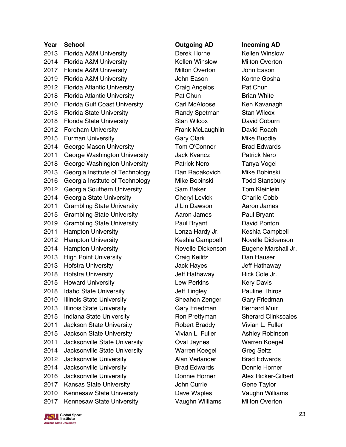**Year School Outgoing AD Incoming AD** 2013 Florida A&M University **Derek Horne** Kellen Winslow 2014 Florida A&M University **Kellen Winslow** Milton Overton 2017 Florida A&M University **Milton Overton** John Eason 2019 Florida A&M University **State State State John Eason** Kortne Gosha 2012 Florida Atlantic University Craig Angelos Pat Chun 2018 Florida Atlantic University **Pat Chun** Brian White 2010 Florida Gulf Coast University Carl McAloose Ken Kavanagh 2013 Florida State University **Randy Spetman** Stan Wilcox 2018 Florida State University **Stan Wilcox** David Coburn 2012 Fordham University **Ficher Contains Container Container Container Container Container Container Container** 2015 Furman University **Gary Clark** Gary Clark Mike Buddie 2014 George Mason University **Tom O'Connor** Brad Edwards 2011 George Washington University **Jack Kvancz** Patrick Nero 2018 George Washington University Patrick Nero Tanya Vogel 2013 Georgia Institute of Technology **Dan Radakovich Mike Bobinski** 2016 Georgia Institute of Technology Mike Bobinski Todd Stansbury 2012 Georgia Southern University **Sam Baker** Tom Kleinlein 2014 Georgia State University Cheryl Levick Charlie Cobb 2011 Grambling State University **Julian Clubs** Julian Dawson Aaron James 2015 Grambling State University **Aaron James** Paul Bryant 2019 Grambling State University Paul Bryant David Ponton 2011 Hampton University **Lonza Hardy Jr.** Keshia Campbell 2012 Hampton University Keshia Campbell Novelle Dickenson 2014 Hampton University **Novelle Dickenson** Eugene Marshall Jr. 2013 High Point University Craig Keilitz Dan Hauser 2013 Hofstra University **Matube 2013 Hoff Hathaway** 2018 Hofstra University **Hathaway** Rick Cole Jr. 2015 Howard University **Example 2016** Lew Perkins Kery Davis 2018 Idaho State University **State State State State State State** Jeff Tingley **Pauline Thiros** 2010 Illinois State University **Sheahon Zenger** Gary Friedman 2013 Illinois State University **Gary Friedman** Bernard Muir 2015 Indiana State University **Ron Prettyman** Sherard Clinkscales 2011 Jackson State University Robert Braddy Vivian L. Fuller 2015 Jackson State University **Vivian L. Fuller** Ashley Robinson 2011 Jacksonville State University Oval Jaynes Warren Koegel 2014 Jacksonville State University Warren Koegel Greg Seitz 2012 Jacksonville University **Alan Verlander** Brad Edwards 2014 Jacksonville University Brad Edwards Donnie Horner 2016 Jacksonville University Donnie Horner Alex Ricker-Gilbert 2017 Kansas State University **State State Access 10 John Currie** Gene Taylor 2010 Kennesaw State University Dave Waples Vaughn Williams 2017 Kennesaw State University **Vaughn Williams** Milton Overton

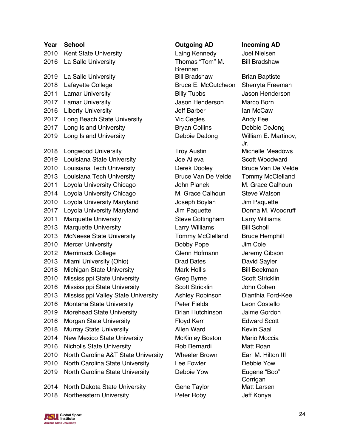| Year | <b>School</b>                       | <b>Outgoing AD</b>        | Incoming /             |
|------|-------------------------------------|---------------------------|------------------------|
| 2010 | Kent State University               | Laing Kennedy             | Joel Nielse            |
| 2016 | La Salle University                 | Thomas "Tom" M.           | <b>Bill Bradsha</b>    |
|      |                                     | <b>Brennan</b>            |                        |
| 2019 | La Salle University                 | <b>Bill Bradshaw</b>      | <b>Brian Baptis</b>    |
| 2018 | Lafayette College                   | Bruce E. McCutcheon       | Sherryta Fr            |
| 2011 | <b>Lamar University</b>             | <b>Billy Tubbs</b>        | Jason Hend             |
| 2017 | <b>Lamar University</b>             | Jason Henderson           | Marco Borr             |
| 2016 | <b>Liberty University</b>           | <b>Jeff Barber</b>        | lan McCaw              |
| 2017 | Long Beach State University         | Vic Cegles                | Andy Fee               |
| 2017 | Long Island University              | <b>Bryan Collins</b>      | Debbie De.             |
| 2019 | Long Island University              | Debbie DeJong             | William E. I<br>Jr.    |
| 2018 | <b>Longwood University</b>          | <b>Troy Austin</b>        | Michelle Me            |
| 2019 | Louisiana State University          | Joe Alleva                | Scott Wooc             |
| 2010 | Louisiana Tech University           | Derek Dooley              | Bruce Van              |
| 2013 | Louisiana Tech University           | <b>Bruce Van De Velde</b> | <b>Tommy Mc</b>        |
| 2011 | Loyola University Chicago           | <b>John Planek</b>        | M. Grace C             |
| 2014 | Loyola University Chicago           | M. Grace Calhoun          | <b>Steve Wats</b>      |
| 2010 | Loyola University Maryland          | Joseph Boylan             | Jim Paquet             |
| 2017 | Loyola University Maryland          | Jim Paquette              | Donna M. V             |
| 2011 | <b>Marquette University</b>         | Steve Cottingham          | Larry Willia           |
| 2013 | <b>Marquette University</b>         | Larry Williams            | <b>Bill Scholl</b>     |
| 2013 | <b>McNeese State University</b>     | <b>Tommy McClelland</b>   | <b>Bruce Hem</b>       |
| 2010 | <b>Mercer University</b>            | <b>Bobby Pope</b>         | Jim Cole               |
| 2012 | <b>Merrimack College</b>            | Glenn Hofmann             | Jeremy Gib             |
| 2013 | Miami University (Ohio)             | <b>Brad Bates</b>         | David Sayle            |
| 2018 | Michigan State University           | <b>Mark Hollis</b>        | <b>Bill Beekma</b>     |
| 2010 | Mississippi State University        | Greg Byrne                | <b>Scott Strick</b>    |
| 2016 | Mississippi State University        | Scott Stricklin           | John Coher             |
| 2013 | Mississippi Valley State University | Ashley Robinson           | Dianthia Fo            |
| 2016 | Montana State University            | <b>Peter Fields</b>       | Leon Coste             |
| 2019 | <b>Morehead State University</b>    | <b>Brian Hutchinson</b>   | Jaime Gord             |
| 2016 | <b>Morgan State University</b>      | Floyd Kerr                | Edward Sco             |
| 2018 | <b>Murray State University</b>      | Allen Ward                | <b>Kevin Saal</b>      |
| 2014 | <b>New Mexico State University</b>  | <b>McKinley Boston</b>    | <b>Mario Moco</b>      |
| 2016 | <b>Nicholls State University</b>    | Rob Bernardi              | Matt Roan              |
| 2010 | North Carolina A&T State University | <b>Wheeler Brown</b>      | Earl M. Hilt           |
| 2010 | North Carolina State University     | Lee Fowler                | Debbie Yov             |
| 2019 | North Carolina State University     | Debbie Yow                | Eugene "Bo<br>Corrigan |
|      | 2014 North Dakota State University  | Gene Taylor               | <b>Matt Larser</b>     |

2018 Northeastern University Peter Roby Jeff Konya

# **Outgoing AD Incoming AD**

Laing Kennedy Joel Nielsen Thomas "Tom" M. Brennan Bill Bradshaw Brian Baptiste Bruce E. McCutcheon Sherryta Freeman **Billy Tubbs State Billy Tubbs** Jason Henderson Jason Henderson Marco Born Vic Cegles Andy Fee Bryan Collins Debbie DeJong

**Troy Austin Michelle Meadows** 2019 Louisiana State University Joe Alleva Scott Woodward John Planek M. Grace Calhoun M. Grace Calhoun Steve Watson Joseph Boylan Jim Paquette Steve Cottingham Larry Williams Larry Williams Bill Scholl Tommy McClelland Bruce Hemphill **2010 Bobby Pope Jim Cole** Glenn Hofmann Jeremy Gibson Brad Bates **David Sayler** Mark Hollis Bill Beekman Greg Byrne Scott Stricklin Scott Stricklin and John Cohen ity Ashley Robinson Dianthia Ford-Kee Peter Fields **Leon Costello** Brian Hutchinson Jaime Gordon Floyd Kerr **Edward Scott** Allen Ward Kevin Saal McKinley Boston Mario Moccia Rob Bernardi Matt Roan rsity Wheeler Brown Earl M. Hilton III Lee Fowler **Debbie Yow** Debbie Yow Eugene "Boo"

Bill Bradshaw

Debbie DeJong William E. Martinov, Jr. Derek Dooley Bruce Van De Velde Bruce Van De Velde Tommy McClelland Jim Paquette **Donna M. Woodruff Corrigan** Gene Taylor Matt Larsen

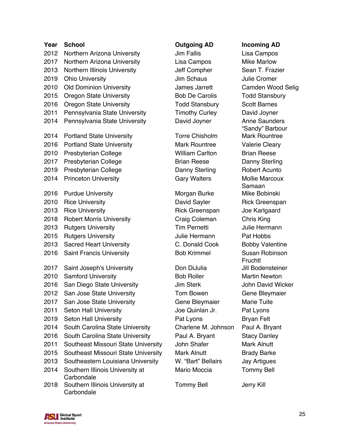| Year | <b>School</b>                                 |
|------|-----------------------------------------------|
| 2012 | Northern Arizona University                   |
| 2017 | Northern Arizona University                   |
| 2013 | Northern Illinois University                  |
| 2019 | <b>Ohio University</b>                        |
| 2010 | <b>Old Dominion University</b>                |
| 2015 | <b>Oregon State University</b>                |
| 2016 | <b>Oregon State University</b>                |
| 2011 | Pennsylvania State University                 |
| 2014 | Pennsylvania State University                 |
| 2014 | <b>Portland State University</b>              |
| 2016 | <b>Portland State University</b>              |
| 2010 | <b>Presbyterian College</b>                   |
| 2017 | <b>Presbyterian College</b>                   |
| 2019 | Presbyterian College                          |
| 2014 | <b>Princeton University</b>                   |
| 2016 | <b>Purdue University</b>                      |
| 2010 | <b>Rice University</b>                        |
| 2013 | <b>Rice University</b>                        |
| 2018 | <b>Robert Morris University</b>               |
| 2013 | <b>Rutgers University</b>                     |
| 2015 | <b>Rutgers University</b>                     |
| 2013 | <b>Sacred Heart University</b>                |
| 2016 | <b>Saint Francis University</b>               |
| 2017 | Saint Joseph's University                     |
| 2010 | <b>Samford University</b>                     |
| 2016 | San Diego State University                    |
| 2012 | San Jose State University                     |
| 2017 | San Jose State University                     |
| 2011 | <b>Seton Hall University</b>                  |
| 2019 | <b>Seton Hall University</b>                  |
| 2014 | South Carolina State Universi                 |
| 2016 | South Carolina State Universi                 |
| 2011 | Southeast Missouri State Univ                 |
| 2015 | Southeast Missouri State Univ                 |
| 2013 | Southeastern Louisiana Unive                  |
| 2014 | Southern Illinois University at<br>Carbondale |
| 2018 | Southern Illinois University at<br>Carbondale |

Jim Fallis **Northern Arizon** Lisa Campos Lisa Campos Mike Marlow **Jim Schaus Commer** Julie Cromer **Todd Stansbury Scott Barnes** ty Timothy Curley David Joyner

> Mark Rountree Valerie Cleary William Carlton Brian Reese **Brian Reese Danny Sterling** Danny Sterling Robert Acunto

> Morgan Burke Mike Bobinski Rick Greenspan Joe Karlgaard Craig Coleman Chris King 2013 Rutgers University Tim Pernetti Julie Hermann Julie Hermann Pat Hobbs

Don DiJulia Jill Bodensteiner Bob Roller Martin Newton 2016 San Diego State University Jim Sterk John David Wicker **2012 Tom Bowen Gene Bleymaier** Gene Bleymaier Marie Tuite Joe Quinlan Jr. Pat Lyons Pat Lyons Bryan Felt 2014 Sity Charlene M. Johnson Paul A. Bryant 2016 Sity Paul A. Bryant Stacy Danley niversity John Shafer Mark Alnutt niversity Mark Alnutt Brady Barke versity W. "Bart" Bellairs Jay Artigues Mario Moccia Tommy Bell

Tommy Bell **Jerry Kill** 

## **Outgoing AD Incoming AD**

Jeff Compher Sean T. Frazier 2010 Old Dominion University James Jarrett Camden Wood Selig Bob De Carolis Todd Stansbury ity **David Joyner Anne Saunders** "Sandy" Barbour Torre Chisholm Mark Rountree Gary Walters Mollie Marcoux Samaan David Sayler Rick Greenspan C. Donald Cook Bobby Valentine Bob Krimmel Susan Robinson Fruchtl

**SU** Global Sport **Arizona State University**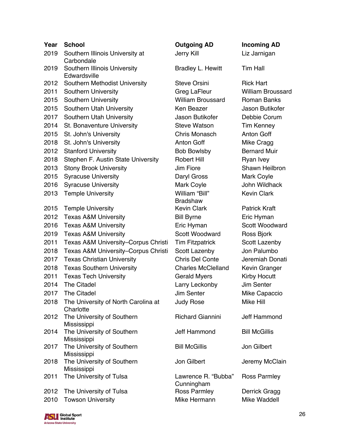| Year | <b>School</b>                                    | <b>Outgoing AD</b>                | <b>Incoming AD</b>       |
|------|--------------------------------------------------|-----------------------------------|--------------------------|
| 2019 | Southern Illinois University at<br>Carbondale    | Jerry Kill                        | Liz Jarnigan             |
| 2019 | Southern Illinois University<br>Edwardsville     | Bradley L. Hewitt                 | <b>Tim Hall</b>          |
| 2012 | Southern Methodist University                    | <b>Steve Orsini</b>               | <b>Rick Hart</b>         |
| 2011 | Southern University                              | Greg LaFleur                      | <b>William Broussard</b> |
| 2015 | Southern University                              | <b>William Broussard</b>          | <b>Roman Banks</b>       |
| 2015 | Southern Utah University                         | Ken Beazer                        | Jason Butikofer          |
| 2017 | Southern Utah University                         | Jason Butikofer                   | Debbie Corum             |
| 2014 | St. Bonaventure University                       | <b>Steve Watson</b>               | <b>Tim Kenney</b>        |
| 2015 | St. John's University                            | Chris Monasch                     | Anton Goff               |
| 2018 | St. John's University                            | <b>Anton Goff</b>                 | Mike Cragg               |
| 2012 | <b>Stanford University</b>                       | <b>Bob Bowlsby</b>                | <b>Bernard Muir</b>      |
| 2018 | Stephen F. Austin State University               | <b>Robert Hill</b>                | Ryan Ivey                |
| 2013 | <b>Stony Brook University</b>                    | Jim Fiore                         | Shawn Heilbron           |
| 2015 | <b>Syracuse University</b>                       | Daryl Gross                       | Mark Coyle               |
| 2016 | <b>Syracuse University</b>                       | Mark Coyle                        | John Wildhack            |
| 2013 | <b>Temple University</b>                         | William "Bill"                    | <b>Kevin Clark</b>       |
|      |                                                  | <b>Bradshaw</b>                   |                          |
| 2015 | <b>Temple University</b>                         | <b>Kevin Clark</b>                | <b>Patrick Kraft</b>     |
| 2012 | <b>Texas A&amp;M University</b>                  | <b>Bill Byrne</b>                 | Eric Hyman               |
| 2016 | <b>Texas A&amp;M University</b>                  | Eric Hyman                        | Scott Woodward           |
| 2019 | <b>Texas A&amp;M University</b>                  | Scott Woodward                    | Ross Bjork               |
| 2011 | Texas A&M University-Corpus Christi              | <b>Tim Fitzpatrick</b>            | Scott Lazenby            |
| 2018 | Texas A&M University-Corpus Christi              | Scott Lazenby                     | Jon Palumbo              |
| 2017 | <b>Texas Christian University</b>                | Chris Del Conte                   | Jeremiah Donati          |
| 2018 | <b>Texas Southern University</b>                 | <b>Charles McClelland</b>         | Kevin Granger            |
| 2011 | <b>Texas Tech University</b>                     | <b>Gerald Myers</b>               | Kirby Hocutt             |
| 2014 | The Citadel                                      | Larry Leckonby                    | Jim Senter               |
|      | 2017 The Citadel                                 | Jim Senter                        | Mike Capaccio            |
| 2018 | The University of North Carolina at<br>Charlotte | <b>Judy Rose</b>                  | Mike Hill                |
| 2012 | The University of Southern<br>Mississippi        | <b>Richard Giannini</b>           | Jeff Hammond             |
| 2014 | The University of Southern<br>Mississippi        | Jeff Hammond                      | <b>Bill McGillis</b>     |
| 2017 | The University of Southern<br>Mississippi        | <b>Bill McGillis</b>              | Jon Gilbert              |
| 2018 | The University of Southern<br>Mississippi        | Jon Gilbert                       | Jeremy McClain           |
| 2011 | The University of Tulsa                          | Lawrence R. "Bubba"<br>Cunningham | <b>Ross Parmley</b>      |
| 2012 | The University of Tulsa                          | Ross Parmley                      | Derrick Gragg            |
| 2010 | <b>Towson University</b>                         | Mike Hermann                      | Mike Waddell             |

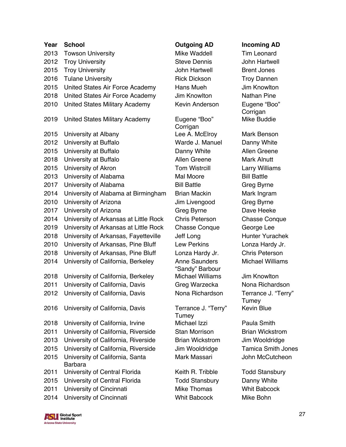| Year | <b>School</b>                                     | <b>Outgoing AD</b>                      | Incoming               |
|------|---------------------------------------------------|-----------------------------------------|------------------------|
| 2013 | <b>Towson University</b>                          | Mike Waddell                            | <b>Tim Leonar</b>      |
| 2012 | <b>Troy University</b>                            | <b>Steve Dennis</b>                     | John Hartw             |
| 2015 | <b>Troy University</b>                            | John Hartwell                           | <b>Brent Jone:</b>     |
| 2016 | <b>Tulane University</b>                          | <b>Rick Dickson</b>                     | <b>Troy Danne</b>      |
| 2015 | United States Air Force Academy                   | Hans Mueh                               | Jim Knowlt             |
| 2018 | United States Air Force Academy                   | Jim Knowlton                            | <b>Nathan Pin</b>      |
| 2010 | United States Military Academy                    | Kevin Anderson                          | Eugene "Bo<br>Corrigan |
| 2019 | United States Military Academy                    | Eugene "Boo"<br>Corrigan                | Mike Buddi             |
| 2015 | University at Albany                              | Lee A. McElroy                          | Mark Bens              |
| 2012 | University at Buffalo                             | Warde J. Manuel                         | Danny Whi              |
| 2015 | University at Buffalo                             | Danny White                             | <b>Allen Green</b>     |
| 2018 | University at Buffalo                             | Allen Greene                            | <b>Mark Alnutt</b>     |
| 2015 | University of Akron                               | <b>Tom Wistrcill</b>                    | Larry Willia           |
| 2013 | University of Alabama                             | Mal Moore                               | <b>Bill Battle</b>     |
| 2017 | University of Alabama                             | <b>Bill Battle</b>                      | Greg Byrne             |
| 2014 | University of Alabama at Birmingham               | <b>Brian Mackin</b>                     | Mark Ingrai            |
| 2010 | University of Arizona                             | Jim Livengood                           | Greg Byrne             |
| 2017 | University of Arizona                             | Greg Byrne                              | Dave Heek              |
| 2014 | University of Arkansas at Little Rock             | <b>Chris Peterson</b>                   | Chasse Co              |
| 2019 | University of Arkansas at Little Rock             | <b>Chasse Conque</b>                    | George Lee             |
| 2018 | University of Arkansas, Fayetteville              | Jeff Long                               | Hunter Yur             |
| 2010 | University of Arkansas, Pine Bluff                | Lew Perkins                             | Lonza Hard             |
| 2018 | University of Arkansas, Pine Bluff                | Lonza Hardy Jr.                         | <b>Chris Peter</b>     |
| 2014 | University of California, Berkeley                | <b>Anne Saunders</b><br>"Sandy" Barbour | Michael Wi             |
| 2018 | University of California, Berkeley                | <b>Michael Williams</b>                 | Jim Knowlt             |
| 2011 | University of California, Davis                   | Greg Warzecka                           | Nona Richa             |
| 2012 | University of California, Davis                   | Nona Richardson                         | Terrance J.<br>Tumey   |
| 2016 | University of California, Davis                   | Terrance J. "Terry"<br>Tumey            | Kevin Blue             |
| 2018 | University of California, Irvine                  | Michael Izzi                            | Paula Smit             |
| 2011 | University of California, Riverside               | <b>Stan Morrison</b>                    | <b>Brian Wicks</b>     |
| 2013 | University of California, Riverside               | <b>Brian Wickstrom</b>                  | Jim Wooldr             |
| 2015 | University of California, Riverside               | Jim Wooldridge                          | Tamica Sm              |
| 2015 | University of California, Santa<br><b>Barbara</b> | Mark Massari                            | John McCu              |
| 2011 | University of Central Florida                     | Keith R. Tribble                        | <b>Todd Stans</b>      |
| 2015 | University of Central Florida                     | <b>Todd Stansbury</b>                   | Danny Whi              |
| 2011 | University of Cincinnati                          | <b>Mike Thomas</b>                      | <b>Whit Babco</b>      |
| 2014 | University of Cincinnati                          | <b>Whit Babcock</b>                     | Mike Bohn              |

Mike Waddell **Tim Leonard 2012 Steve Dennis Manual John Hartwell** 2015 Troy University John Hartwell Brent Jones Rick Dickson Troy Dannen Hans Mueh Jim Knowlton **Jim Knowlton Nathan Pine** Kevin Anderson Eugene "Boo"

Eugene "Boo" Corrigan Lee A. McElroy Mark Benson Warde J. Manuel Danny White Danny White Allen Greene Allen Greene Mark Alnutt **2015 Tom Wistrcill Larry Williams 2017 Bill Battle Greg Byrne** m Brian Mackin **Mark Ingram** Jim Livengood Greg Byrne Greg Byrne Dave Heeke 2014 K Chris Peterson Chasse Conque k Chasse Conque George Lee **2018 Jeff Long Communist Communist Communist Communist Communist Communist Communist Communist Communist Communist Communist Communist Communist Communist Communist Communist Communist Communist Communist Communist Commun** Lew Perkins Lonza Hardy Jr. Lonza Hardy Jr. Chris Peterson Anne Saunders "Sandy" Barbour Michael Williams Jim Knowlton

> Terrance J. "Terry" **Tumey** Michael Izzi Paula Smith **2011 Stan Morrison Galifornia, Brian Wickstrom** Brian Wickstrom Jim Wooldridge

Todd Stansbury Danny White **Mike Thomas Whit Babcock** 

**Outgoing AD Incoming AD** 

Corrigan Mike Buddie

Michael Williams

Greg Warzecka Nona Richardson Nona Richardson Terrance J. "Terry" **Tumey** Kevin Blue

Jim Wooldridge Tamica Smith Jones Mark Massari John McCutcheon

Keith R. Tribble Todd Stansbury

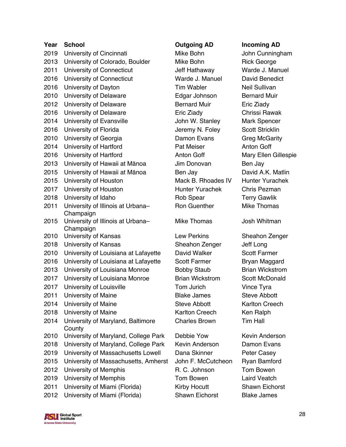| Year | <b>School</b>                        |
|------|--------------------------------------|
| 2019 | University of Cincinnati             |
| 2013 | University of Colorado, Boulder      |
| 2011 | University of Connecticut            |
| 2016 | University of Connecticut            |
| 2016 | University of Dayton                 |
| 2010 | University of Delaware               |
| 2012 | University of Delaware               |
| 2016 | University of Delaware               |
| 2014 | University of Evansville             |
| 2016 | University of Florida                |
| 2010 | University of Georgia                |
| 2014 | University of Hartford               |
| 2016 | University of Hartford               |
| 2013 | University of Hawaii at Mānoa        |
| 2015 | University of Hawaii at Mānoa        |
| 2015 | University of Houston                |
| 2017 | University of Houston                |
| 2018 | University of Idaho                  |
| 2011 | University of Illinois at Urbana-    |
|      | Champaign                            |
| 2015 | University of Illinois at Urbana-    |
| 2010 | Champaign<br>University of Kansas    |
| 2018 | University of Kansas                 |
| 2010 | University of Louisiana at Lafayette |
| 2016 | University of Louisiana at Lafayette |
| 2013 | University of Louisiana Monroe       |
| 2017 | University of Louisiana Monroe       |
| 2017 | University of Louisville             |
| 2011 | University of Maine                  |
| 2014 | University of Maine                  |
| 2018 | University of Maine                  |
| 2014 | University of Maryland, Baltimore    |
|      | County                               |
| 2010 | University of Maryland, College Park |
| 2018 | University of Maryland, College Park |
| 2019 | University of Massachusetts Lowell   |
| 2015 | University of Massachusetts, Amhers  |
| 2012 | University of Memphis                |
| 2019 | University of Memphis                |
| 2011 | University of Miami (Florida)        |
| 2012 | University of Miami (Florida)        |

## **Outgoing AD Incoming AD**

Mike Bohn John Cunningham Mike Bohn Rick George Jeff Hathaway Warde J. Manuel Warde J. Manuel David Benedict **2016 Tim Wabler Neil Sullivan** Edgar Johnson Bernard Muir **Bernard Muir Eric Ziady** Eric Ziady Chrissi Rawak John W. Stanley Mark Spencer Jeremy N. Foley Scott Stricklin Damon Evans Greg McGarity Pat Meiser **Anton Goff** Anton Goff Mary Ellen Gillespie Jim Donovan Ben Jay **2015 Ben Jay Communist Charles David A.K. Matlin** Mack B. Rhoades IV Hunter Yurachek Hunter Yurachek Chris Pezman Rob Spear Terry Gawlik Ron Guenther Mike Thomas Mike Thomas Josh Whitman

Sheahon Zenger Jeff Long David Walker Scott Farmer Scott Farmer Bryan Maggard Bobby Staub Brian Wickstrom **Brian Wickstrom Scott McDonald 2017 Tom Jurich Communist Communist Communist Communist Communist Communist Communist Communist Communist Communist Communist Communist Communist Communist Communist Communist Communist Communist Communist Communist Commu Blake James** Steve Abbott Steve Abbott Karlton Creech Karlton Creech Ken Ralph Charles Brown Tim Hall

Debbie Yow Kevin Anderson Kevin Anderson Damon Evans Dana Skinner Peter Casey 2015 John F. McCutcheon Ryan Bamford R. C. Johnson Tom Bowen **2019 Tom Bowen Laird Veatch** Kirby Hocutt **Shawn Eichorst** 2012 University of Miami (Florida) Shawn Eichorst Blake James

Lew Perkins Sheahon Zenger

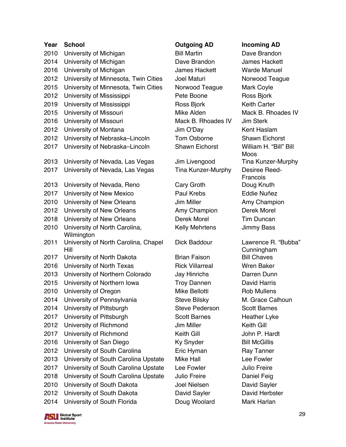| Year | <b>School</b>                                | <b>Outgoing AD</b>     | Incoming                  |
|------|----------------------------------------------|------------------------|---------------------------|
| 2010 | University of Michigan                       | <b>Bill Martin</b>     | Dave Brand                |
| 2014 | University of Michigan                       | Dave Brandon           | James Hac                 |
| 2016 | University of Michigan                       | James Hackett          | <b>Warde Mar</b>          |
| 2012 | University of Minnesota, Twin Cities         | Joel Maturi            | Norwood T                 |
| 2015 | University of Minnesota, Twin Cities         | Norwood Teague         | <b>Mark Coyle</b>         |
| 2012 | University of Mississippi                    | Pete Boone             | Ross Bjork                |
| 2019 | University of Mississippi                    | Ross Bjork             | <b>Keith Carte</b>        |
| 2015 | University of Missouri                       | Mike Alden             | Mack B. Rh                |
| 2016 | University of Missouri                       | Mack B. Rhoades IV     | Jim Sterk                 |
| 2012 | University of Montana                        | Jim O'Day              | <b>Kent Hasla</b>         |
| 2012 | University of Nebraska-Lincoln               | Tom Osborne            | <b>Shawn Eicl</b>         |
| 2017 | University of Nebraska-Lincoln               | <b>Shawn Eichorst</b>  | William H.<br><b>Moos</b> |
| 2013 | University of Nevada, Las Vegas              | Jim Livengood          | <b>Tina Kunze</b>         |
| 2017 | University of Nevada, Las Vegas              | Tina Kunzer-Murphy     | Desiree Re<br>Francois    |
| 2013 | University of Nevada, Reno                   | Cary Groth             | Doug Knutl                |
| 2017 | University of New Mexico                     | Paul Krebs             | Eddie Nuñe                |
| 2010 | University of New Orleans                    | Jim Miller             | Amy Cham                  |
| 2012 | University of New Orleans                    | Amy Champion           | Derek More                |
| 2018 | University of New Orleans                    | Derek Morel            | <b>Tim Dunca</b>          |
| 2010 | University of North Carolina,<br>Wilmington  | <b>Kelly Mehrtens</b>  | Jimmy Bas                 |
| 2011 | University of North Carolina, Chapel<br>Hill | Dick Baddour           | Lawrence F<br>Cunningha   |
| 2017 | University of North Dakota                   | <b>Brian Faison</b>    | <b>Bill Chaves</b>        |
| 2016 | University of North Texas                    | <b>Rick Villarreal</b> | <b>Wren Bake</b>          |
| 2013 | University of Northern Colorado              | Jay Hinrichs           | Darren Dur                |
| 2015 | University of Northern Iowa                  | <b>Troy Dannen</b>     | David Harri               |
| 2010 | University of Oregon                         | Mike Bellotti          | Rob Muller                |
| 2014 | University of Pennsylvania                   | <b>Steve Bilsky</b>    | M. Grace C                |
| 2014 | University of Pittsburgh                     | <b>Steve Pederson</b>  | Scott Barne               |
| 2017 | University of Pittsburgh                     | <b>Scott Barnes</b>    | Heather Ly                |
| 2012 | University of Richmond                       | Jim Miller             | Keith Gill                |
| 2017 | University of Richmond                       | Keith Gill             | John P. Ha                |
| 2016 | University of San Diego                      | <b>Ky Snyder</b>       | <b>Bill McGillis</b>      |
| 2012 | University of South Carolina                 | Eric Hyman             | Ray Tanne                 |
| 2013 | University of South Carolina Upstate         | <b>Mike Hall</b>       | Lee Fowler                |
| 2017 | University of South Carolina Upstate         | Lee Fowler             | <b>Julio Freire</b>       |
| 2018 | University of South Carolina Upstate         | Julio Freire           | Daniel Feig               |
| 2010 | University of South Dakota                   | Joel Nielsen           | David Sayl                |
| 2012 | University of South Dakota                   | David Sayler           | David Herb                |
| 2014 | University of South Florida                  | Doug Woolard           | Mark Harla                |

**2011 Bill Martin Cave Brandon** Dave Brandon James Hackett 2016 University of Michigan James Hackett Warde Manuel Joel Maturi Norwood Teague Norwood Teague Mark Coyle Pete Boone Ross Bjork **2019 Ross Biork Keith Carter** Mack B. Rhoades IV Jim Sterk Jim O'Day Kent Haslam Tom Osborne Shawn Eichorst 2017 University of Nebraska–Lincoln Shawn Eichorst William H. "Bill" Bill

Tina Kunzer-Murphy Desiree Reed-

Cary Groth Doug Knuth Paul Krebs **Eddie Nuñez Jim Miller Champion** Amy Champion Derek Morel Derek Morel **Tim Duncan** Kelly Mehrtens Jimmy Bass

**Brian Faison Bill Chaves** Rick Villarreal Wren Baker Jay Hinrichs Darren Dunn Troy Dannen David Harris Mike Bellotti **Rob Mullens** Steve Pederson Scott Barnes Scott Barnes Heather Lyke **Jim Miller Common Channel Common Keith Gill** 2017 University of Richmond Keith Gill John P. Hardt Ky Snyder Bill McGillis Eric Hyman Ray Tanner Lee Fowler **Carolina University Carolina Lee Fowler** Julio Freire **Daniel Feig** Joel Nielsen David Sayler David Sayler David Herbster Doug Woolard Mark Harlan

### **Outgoing AD Incoming AD**

Mike Alden Mack B. Rhoades IV Moos Jim Livengood Tina Kunzer-Murphy **Francois** Dick Baddour Lawrence R. "Bubba" Cunningham Steve Bilsky M. Grace Calhoun

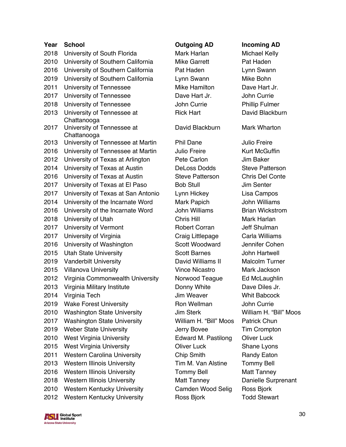| Year         | <b>School</b>                      | <b>Outgoing AD</b>          | <b>Incoming AD</b>         |
|--------------|------------------------------------|-----------------------------|----------------------------|
| 2018         | University of South Florida        | Mark Harlan                 | Michael Kelly              |
| 2010         | University of Southern California  | <b>Mike Garrett</b>         | Pat Haden                  |
| 2016         | University of Southern California  | Pat Haden                   | Lynn Swann                 |
| 2019         | University of Southern California  | Lynn Swann                  | Mike Bohn                  |
| 2011         | University of Tennessee            | Mike Hamilton               | Dave Hart Jr.              |
| 2017         | University of Tennessee            | Dave Hart Jr.               | John Currie                |
| 2018         | University of Tennessee            | John Currie                 | <b>Phillip Fulmer</b>      |
| 2013         | University of Tennessee at         | <b>Rick Hart</b>            | David Blackbu              |
|              | Chattanooga                        |                             |                            |
| 2017         | University of Tennessee at         | David Blackburn             | <b>Mark Wharton</b>        |
|              | Chattanooga                        |                             |                            |
| 2013         | University of Tennessee at Martin  | <b>Phil Dane</b>            | <b>Julio Freire</b>        |
| 2016<br>2012 | University of Tennessee at Martin  | Julio Freire<br>Pete Carlon | Kurt McGuffin<br>Jim Baker |
| 2014         | University of Texas at Arlington   | <b>DeLoss Dodds</b>         | <b>Steve Patterso</b>      |
|              | University of Texas at Austin      |                             |                            |
| 2016<br>2017 | University of Texas at Austin      | <b>Steve Patterson</b>      | Chris Del Con              |
|              | University of Texas at El Paso     | <b>Bob Stull</b>            | Jim Senter                 |
| 2017         | University of Texas at San Antonio | Lynn Hickey                 | Lisa Campos                |
| 2014         | University of the Incarnate Word   | Mark Papich                 | <b>John Williams</b>       |
| 2016         | University of the Incarnate Word   | <b>John Williams</b>        | <b>Brian Wickstro</b>      |
| 2018         | University of Utah                 | Chris Hill                  | Mark Harlan                |
| 2017         | University of Vermont              | <b>Robert Corran</b>        | Jeff Shulman               |
| 2017         | University of Virginia             | Craig Littlepage            | Carla Williams             |
| 2016         | University of Washington           | <b>Scott Woodward</b>       | Jennifer Cohe              |
| 2015         | <b>Utah State University</b>       | <b>Scott Barnes</b>         | John Hartwell              |
| 2019         | <b>Vanderbilt University</b>       | David Williams II           | <b>Malcolm Turne</b>       |
| 2015         | <b>Villanova University</b>        | <b>Vince Nicastro</b>       | Mark Jackson               |
| 2012         | Virginia Commonwealth University   | Norwood Teague              | Ed McLaughli               |
| 2013         | Virginia Military Institute        | Donny White                 | Dave Diles Jr.             |
| 2014         | Virginia Tech                      | Jim Weaver                  | Whit Babcock               |
| 2019         | <b>Wake Forest University</b>      | Ron Wellman                 | John Currie                |
| 2010         | <b>Washington State University</b> | <b>Jim Sterk</b>            | William H. "Bil            |
| 2017         | <b>Washington State University</b> | William H. "Bill" Moos      | Patrick Chun               |
| 2019         | <b>Weber State University</b>      | Jerry Bovee                 | <b>Tim Crompton</b>        |
| 2010         | <b>West Virginia University</b>    | <b>Edward M. Pastilong</b>  | <b>Oliver Luck</b>         |
| 2015         | <b>West Virginia University</b>    | <b>Oliver Luck</b>          | Shane Lyons                |
| 2011         | <b>Western Carolina University</b> | <b>Chip Smith</b>           | <b>Randy Eaton</b>         |
| 2013         | <b>Western Illinois University</b> | Tim M. Van Alstine          | <b>Tommy Bell</b>          |
| 2016         | <b>Western Illinois University</b> | <b>Tommy Bell</b>           | <b>Matt Tanney</b>         |
| 2018         | <b>Western Illinois University</b> | <b>Matt Tanney</b>          | Danielle Surpr             |
| 2010         | Western Kentucky University        | Camden Wood Selig           | Ross Bjork                 |
| 2012         | <b>Western Kentucky University</b> | Ross Bjork                  | <b>Todd Stewart</b>        |

## *<u>Dutgoing AD</u>* **Incoming AD**

Phil Dane **Julio Freire** 2016 University of Tennessee at Martin Julio Freire Kurt McGuffin Pete Carlon Jim Baker DeLoss Dodds Steve Patterson Steve Patterson Chris Del Conte **2017 Bob Stull Company Senter** Lynn Hickey Lisa Campos Mark Papich John Williams 2016 University of the Incarnate Word John Williams Brian Wickstrom 2018 University of Utah Chris Hill Mark Harlan Robert Corran Jeff Shulman Craig Littlepage Carla Williams Scott Woodward Jennifer Cohen Scott Barnes John Hartwell David Williams II Malcolm Turner Vince Nicastro Mark Jackson Norwood Teague Ed McLaughlin Donny White Dave Diles Jr. **2014 Jim Weaver Charlot** Whit Babcock Ron Wellman John Currie 2010 Washington State University Jim Sterk William H. "Bill" Moos William H. "Bill" Moos Patrick Chun Jerry Bovee Tim Crompton Edward M. Pastilong Oliver Luck **2015 Oliver Luck Constructs** Shane Lyons **2011 Chip Smith Randy Eaton** Tim M. Van Alstine Tommy Bell **2016 Tommy Bell Matt Tanney** Matt Tanney Danielle Surprenant Camden Wood Selig Ross Bjork

Rick Hart David Blackburn

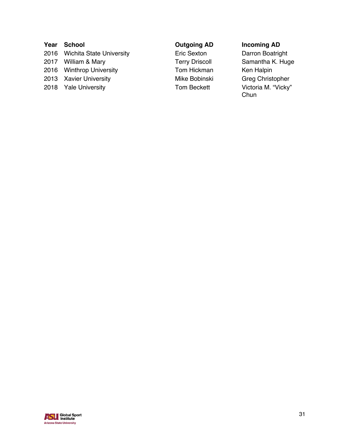# **Year School Outgoing AD Incoming AD** 2016 Wichita State University **Eric Sexton** Darron Boatright 2017 William & Mary **Terry Driscoll** Samantha K. Huge 2016 Winthrop University **Tom Hickman** Ken Halpin 2013 Xavier University Mike Bobinski Greg Christopher

2018 Yale University **Tom Beckett** Victoria M. "Vicky"

Chun

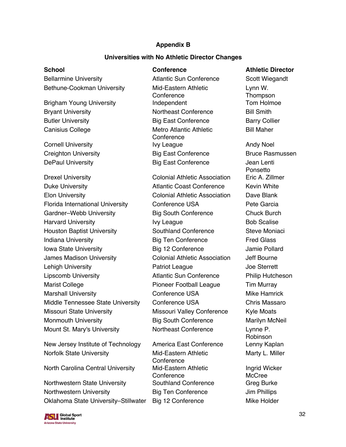### **Appendix B**

### **Universities with No Athletic Director Changes**

Bellarmine University Atlantic Sun Conference Scott Wiegandt Bethune-Cookman University Mid-Eastern Athletic Brigham Young University **Independent** Tom Holmoe

Canisius College Metro Atlantic Athletic

Drexel University Colonial Athletic Association Eric A. Zillmer Duke University **Atlantic Coast Conference** Kevin White Elon University Colonial Athletic Association Dave Blank Florida International University Conference USA Pete Garcia Gardner–Webb University **Big South Conference** Chuck Burch Harvard University **IVI League** IVI League **Bob Scalise** Houston Baptist University **Southland Conference** Steve Moniaci Indiana University **Big Ten Conference** Fred Glass Iowa State University **Big 12 Conference** Jamie Pollard James Madison University Colonial Athletic Association Jeff Bourne Lehigh University **Communist Communist Communist Communist Communist Communist Communist Communist Communist Communist Communist Communist Communist Communist Communist Communist Communist Communist Communist Communist Com** Lipscomb University Atlantic Sun Conference Philip Hutcheson Marist College The Pioneer Football League Tim Murray Marshall University Conference USA Mike Hamrick Middle Tennessee State University Conference USA Chris Massaro Missouri State University Missouri Valley Conference Kyle Moats Monmouth University Big South Conference Marilyn McNeil Mount St. Mary's University **Northeast Conference** Lynne P.

New Jersey Institute of Technology America East Conference Lenny Kaplan Norfolk State University Mid-Eastern Athletic

North Carolina Central University Mid-Eastern Athletic

Northwestern State University Southland Conference Greg Burke Northwestern University **Big Ten Conference** Jim Phillips Oklahoma State University–Stillwater Big 12 Conference Mike Holder



**Conference** Bryant University **Northeast Conference** Bill Smith Butler University **Big East Conference** Barry Collier **Conference** Cornell University **IVY League** Andy Noel Creighton University **Big East Conference** Bruce Rasmussen DePaul University **Big East Conference** Jean Lenti

**Conference Conference** 

**School Conference Athletic Director** Lynn W. **Thompson** Bill Maher

> Ponsetto Robinson Marty L. Miller Ingrid Wicker **McCree**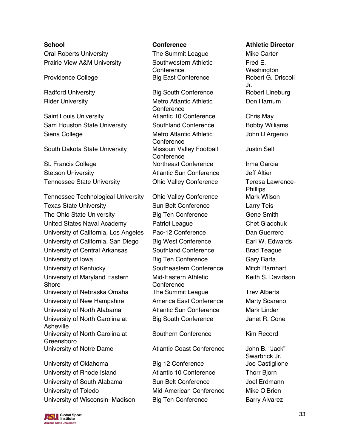Oral Roberts University The Summit League Mike Carter Prairie View A&M University Southwestern Athletic

Saint Louis University Atlantic 10 Conference Chris May Sam Houston State University Southland Conference Bobby Williams Siena College Metro Atlantic Athletic

South Dakota State University Missouri Valley Football

St. Francis College **Northeast Conference** Irma Garcia Stetson University Atlantic Sun Conference Jeff Altier Tennessee State University **Chio Valley Conference** Teresa Lawrence-

Tennessee Technological University Ohio Valley Conference Mark Wilson Texas State University **Sun Belt Conference** Larry Teis The Ohio State University **Big Ten Conference** Gene Smith United States Naval Academy **Patriot League** Chet Gladchuk University of California, Los Angeles Pac-12 Conference Dan Guerrero University of California, San Diego Big West Conference Earl W. Edwards University of Central Arkansas Southland Conference Brad Teague University of Iowa **Big Ten Conference** Gary Barta University of Kentucky Southeastern Conference Mitch Barnhart University of Maryland Eastern Shore University of Nebraska Omaha The Summit League Trev Alberts University of New Hampshire **America East Conference** Marty Scarano University of North Alabama **Atlantic Sun Conference** Mark Linder University of North Carolina at Asheville University of North Carolina at Greensboro University of Notre Dame Atlantic Coast Conference John B. "Jack"

University of Oklahoma Big 12 Conference Some Joe Castiglione University of Rhode Island **Atlantic 10 Conference** Thorr Bjorn University of South Alabama Sun Belt Conference Joel Erdmann University of Toledo **Mid-American Conference** Mike O'Brien University of Wisconsin–Madison Big Ten Conference Barry Alvarez

#### **SU** Global Sport **Arizona State University**

**Conference** Providence College **Big East Conference** Robert G. Driscoll

Radford University **Big South Conference** Robert Lineburg Rider University **Metro Atlantic Athletic** Metro Atlantic Athletic **Conference Conference Conference** 

> Mid-Eastern Athletic **Conference** Big South Conference Janet R. Cone

Southern Conference Kim Record

### **School Conference Athletic Director**

Fred E. Washington Jr. Don Harnum

John D'Argenio

### Justin Sell

**Phillips** Keith S. Davidson

Swarbrick Jr.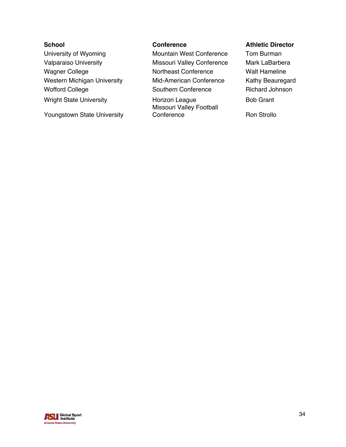University of Wyoming **Mountain West Conference** Tom Burman Wright State University **Horizon League** Bob Grant

Youngstown State University

Valparaiso University **Missouri Valley Conference** Mark LaBarbera Wagner College **Northeast Conference** Walt Hameline Western Michigan University Mid-American Conference Kathy Beauregard Wofford College **Southern Conference** Richard Johnson

> Missouri Valley Football Conference Ron Strollo

## **School Conference Athletic Director**

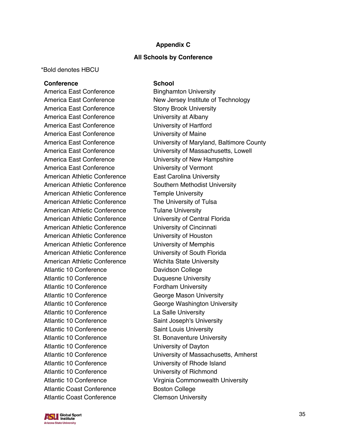### **Appendix C**

#### **All Schools by Conference**

\*Bold denotes HBCU

#### **Conference School**

America East Conference Stony Brook University America East Conference **University at Albany** America East Conference **University of Hartford** America East Conference **University of Maine** America East Conference **University of Vermont** American Athletic Conference East Carolina University American Athletic Conference Temple University American Athletic Conference The University of Tulsa American Athletic Conference Tulane University American Athletic Conference University of Central Florida American Athletic Conference University of Cincinnati American Athletic Conference University of Houston American Athletic Conference University of Memphis American Athletic Conference University of South Florida American Athletic Conference Wichita State University Atlantic 10 Conference Davidson College Atlantic 10 Conference Duquesne University Atlantic 10 Conference Fordham University Atlantic 10 Conference George Mason University Atlantic 10 Conference La Salle University Atlantic 10 Conference Saint Joseph's University Atlantic 10 Conference Saint Louis University Atlantic 10 Conference St. Bonaventure University Atlantic 10 Conference University of Dayton Atlantic 10 Conference University of Rhode Island Atlantic 10 Conference University of Richmond Atlantic Coast Conference **Boston College** Atlantic Coast Conference Clemson University

America East Conference Binghamton University America East Conference New Jersey Institute of Technology America East Conference University of Maryland, Baltimore County America East Conference University of Massachusetts, Lowell America East Conference University of New Hampshire American Athletic Conference Southern Methodist University Atlantic 10 Conference George Washington University Atlantic 10 Conference University of Massachusetts, Amherst Atlantic 10 Conference Virginia Commonwealth University

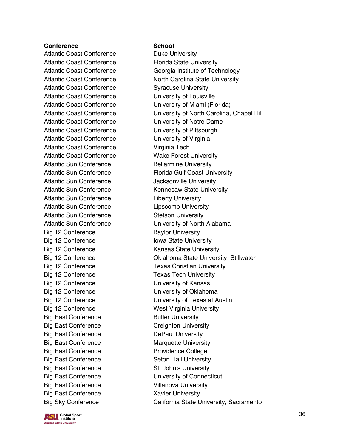Atlantic Coast Conference **Duke University** Atlantic Coast Conference Florida State University Atlantic Coast Conference **Syracuse University** Atlantic Coast Conference University of Louisville Atlantic Coast Conference University of Notre Dame Atlantic Coast Conference **University of Pittsburgh** Atlantic Coast Conference University of Virginia Atlantic Coast Conference Virginia Tech Atlantic Coast Conference Wake Forest University Atlantic Sun Conference Bellarmine University Atlantic Sun Conference **Jacksonville University** Atlantic Sun Conference **Liberty University** Atlantic Sun Conference Lipscomb University Atlantic Sun Conference Stetson University Big 12 Conference Baylor University Big 12 Conference Iowa State University Big 12 Conference Kansas State University Big 12 Conference Texas Tech University Big 12 Conference University of Kansas Big 12 Conference University of Oklahoma Big 12 Conference West Virginia University Big East Conference Butler University Big East Conference **Creighton University** Big East Conference DePaul University Big East Conference Marquette University Big East Conference **Providence College** Big East Conference Seton Hall University Big East Conference St. John's University Big East Conference University of Connecticut Big East Conference Villanova University Big East Conference Xavier University

Atlantic Coast Conference **Georgia Institute of Technology** Atlantic Coast Conference North Carolina State University Atlantic Coast Conference University of Miami (Florida) Atlantic Coast Conference University of North Carolina, Chapel Hill Atlantic Sun Conference Florida Gulf Coast University Atlantic Sun Conference Kennesaw State University Atlantic Sun Conference University of North Alabama Big 12 Conference **Conference** Oklahoma State University–Stillwater Big 12 Conference Texas Christian University Big 12 Conference University of Texas at Austin Big Sky Conference California State University, Sacramento

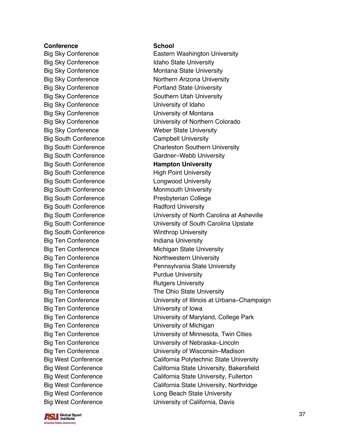Big Sky Conference Idaho State University Big Sky Conference University of Idaho Big Sky Conference University of Montana Big South Conference Campbell University Big South Conference **Hampton University** Big South Conference High Point University Big South Conference **Longwood University** Big South Conference Monmouth University Big South Conference Presbyterian College Big South Conference Radford University Big South Conference Winthrop University Big Ten Conference **Indiana University** Big Ten Conference **Purdue University** Big Ten Conference Rutgers University Big Ten Conference University of Iowa Big Ten Conference University of Michigan

Big Sky Conference **Eastern Washington University** Big Sky Conference Montana State University Big Sky Conference Northern Arizona University Big Sky Conference **Portland State University** Big Sky Conference Southern Utah University Big Sky Conference University of Northern Colorado Big Sky Conference Weber State University Big South Conference Charleston Southern University Big South Conference Gardner–Webb University Big South Conference University of North Carolina at Asheville Big South Conference University of South Carolina Upstate Big Ten Conference Michigan State University Big Ten Conference Northwestern University Big Ten Conference **Pennsylvania State University** Big Ten Conference The Ohio State University Big Ten Conference University of Illinois at Urbana–Champaign Big Ten Conference University of Maryland, College Park Big Ten Conference University of Minnesota, Twin Cities Big Ten Conference University of Nebraska–Lincoln Big Ten Conference University of Wisconsin–Madison Big West Conference **California Polytechnic State University** Big West Conference California State University, Bakersfield Big West Conference California State University, Fullerton Big West Conference **California State University, Northridge** Big West Conference **Long Beach State University** Big West Conference **University of California, Davis** 

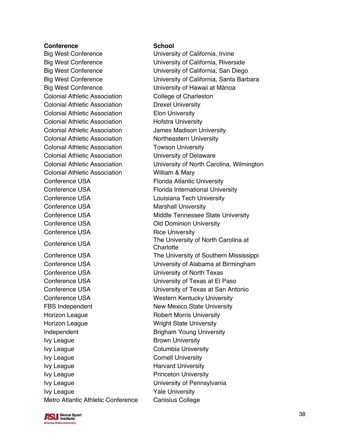Big West Conference **Example 20** University of California, Irvine Big West Conference University of Hawaii at Mānoa Colonial Athletic Association College of Charleston Colonial Athletic Association Drexel University Colonial Athletic Association Elon University Colonial Athletic Association **Hofstra University** Colonial Athletic Association James Madison University Colonial Athletic Association Northeastern University Colonial Athletic Association Towson University Colonial Athletic Association University of Delaware Colonial Athletic Association William & Mary Conference USA Florida Atlantic University Conference USA Florida International University Conference USA Louisiana Tech University Conference USA Marshall University Conference USA **Old Dominion University** Conference USA Rice University Conference USA University of North Texas Conference USA University of Texas at El Paso Conference USA Western Kentucky University FBS Independent New Mexico State University Horizon League **Robert Morris University** Horizon League **Wright State University** Independent Brigham Young University Ivy League **Brown University** Ivy League **Columbia University** Ivy League Cornell University Ivy League **Harvard University** Ivy League **Princeton University** Ivy League **IVI** University of Pennsylvania Ivy League The Team of the Yale University Metro Atlantic Athletic Conference Canisius College

Big West Conference University of California, Riverside Big West Conference University of California, San Diego Big West Conference University of California, Santa Barbara Colonial Athletic Association University of North Carolina, Wilmington Conference USA Middle Tennessee State University Conference USA The University of North Carolina at **Charlotte** Conference USA The University of Southern Mississippi Conference USA University of Alabama at Birmingham Conference USA University of Texas at San Antonio

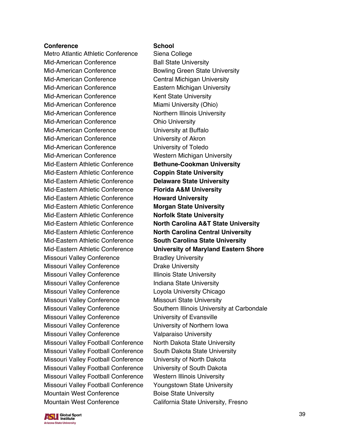Metro Atlantic Athletic Conference Siena College Mid-American Conference Ball State University Mid-American Conference **Bowling Green State University** Mid-American Conference Central Michigan University Mid-American Conference Eastern Michigan University Mid-American Conference Kent State University Mid-American Conference Miami University (Ohio) Mid-American Conference Northern Illinois University Mid-American Conference **Canadia** Ohio University Mid-American Conference University at Buffalo Mid-American Conference University of Akron Mid-American Conference University of Toledo Mid-American Conference Western Michigan University Mid-Eastern Athletic Conference **Bethune-Cookman University** Mid-Eastern Athletic Conference **Coppin State University** Mid-Eastern Athletic Conference **Delaware State University** Mid-Eastern Athletic Conference **Florida A&M University** Mid-Eastern Athletic Conference **Howard University** Mid-Eastern Athletic Conference **Morgan State University** Mid-Eastern Athletic Conference **Norfolk State University** Mid-Eastern Athletic Conference **North Carolina Central University** Mid-Eastern Athletic Conference **South Carolina State University** Missouri Valley Conference **Bradley University** Missouri Valley Conference Drake University Missouri Valley Conference Illinois State University Missouri Valley Conference Indiana State University Missouri Valley Conference Loyola University Chicago Missouri Valley Conference Missouri State University Missouri Valley Conference University of Evansville Missouri Valley Conference University of Northern Iowa Missouri Valley Conference Valparaiso University Missouri Valley Football Conference North Dakota State University Missouri Valley Football Conference South Dakota State University Missouri Valley Football Conference University of North Dakota Missouri Valley Football Conference University of South Dakota Missouri Valley Football Conference Western Illinois University Missouri Valley Football Conference Youngstown State University Mountain West Conference **Boise State University** Mountain West Conference California State University, Fresno

Mid-Eastern Athletic Conference **North Carolina A&T State University** Mid-Eastern Athletic Conference **University of Maryland Eastern Shore** Missouri Valley Conference Southern Illinois University at Carbondale

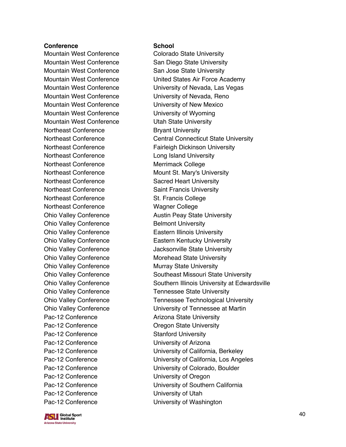Mountain West Conference Colorado State University Mountain West Conference San Jose State University Mountain West Conference University of New Mexico Mountain West Conference **University of Wyoming** Mountain West Conference **Utah State University** Northeast Conference **Bryant University** Northeast Conference Long Island University Northeast Conference Merrimack College Northeast Conference Sacred Heart University Northeast Conference Saint Francis University Northeast Conference St. Francis College Northeast Conference Wagner College Ohio Valley Conference Belmont University Ohio Valley Conference Eastern Illinois University Ohio Valley Conference Murray State University Pac-12 Conference **Arizona State University** Pac-12 Conference **Dream Conference Oregon State University** Pac-12 Conference Stanford University Pac-12 Conference University of Arizona Pac-12 Conference University of Oregon Pac-12 Conference University of Utah



Mountain West Conference San Diego State University Mountain West Conference **United States Air Force Academy** Mountain West Conference University of Nevada, Las Vegas Mountain West Conference University of Nevada, Reno Northeast Conference Central Connecticut State University Northeast Conference Fairleigh Dickinson University Northeast Conference Mount St. Mary's University Ohio Valley Conference **Austin Peay State University** Ohio Valley Conference Eastern Kentucky University Ohio Valley Conference **Jacksonville State University** Ohio Valley Conference Morehead State University Ohio Valley Conference Southeast Missouri State University Ohio Valley Conference Southern Illinois University at Edwardsville Ohio Valley Conference Tennessee State University Ohio Valley Conference Tennessee Technological University Ohio Valley Conference University of Tennessee at Martin Pac-12 Conference University of California, Berkeley Pac-12 Conference University of California, Los Angeles Pac-12 Conference University of Colorado, Boulder Pac-12 Conference University of Southern California Pac-12 Conference University of Washington

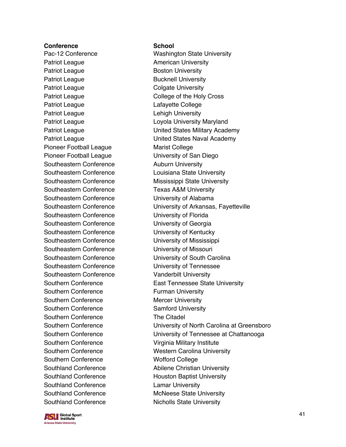Patriot League **American University** Patriot League **Boston University** Patriot League **Bucknell University** Patriot League Colgate University Patriot League Lafayette College Patriot League Lehigh University Pioneer Football League Marist College Pioneer Football League University of San Diego Southeastern Conference **Auburn University** Southeastern Conference Texas A&M University Southeastern Conference University of Alabama Southeastern Conference University of Florida Southeastern Conference **University of Georgia** Southeastern Conference University of Kentucky Southeastern Conference University of Missouri Southeastern Conference Vanderbilt University Southern Conference Furman University Southern Conference Mercer University Southern Conference Samford University Southern Conference The Citadel Southern Conference Virginia Military Institute Southern Conference Wofford College Southland Conference Lamar University

Pac-12 Conference Washington State University Patriot League **College of the Holy Cross** Patriot League **Loyola University Maryland** Patriot League **National Exercise States Military Academy** Patriot League **National Contract Contract Contract United States Naval Academy** Southeastern Conference Louisiana State University Southeastern Conference Mississippi State University Southeastern Conference University of Arkansas, Fayetteville Southeastern Conference **University of Mississippi** Southeastern Conference University of South Carolina Southeastern Conference University of Tennessee Southern Conference **East Tennessee State University** Southern Conference University of North Carolina at Greensboro Southern Conference University of Tennessee at Chattanooga Southern Conference Western Carolina University Southland Conference **Abilene Christian University** Southland Conference Houston Baptist University Southland Conference McNeese State University Southland Conference Nicholls State University